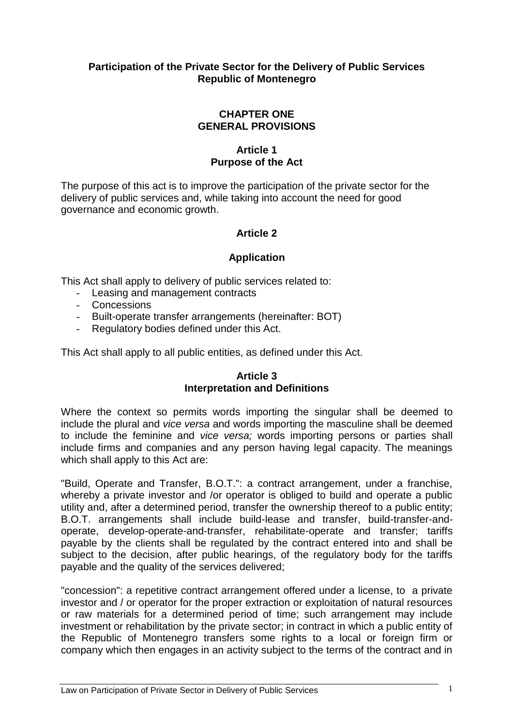# **Participation of the Private Sector for the Delivery of Public Services Republic of Montenegro**

# **CHAPTER ONE GENERAL PROVISIONS**

# **Article 1 Purpose of the Act**

The purpose of this act is to improve the participation of the private sector for the delivery of public services and, while taking into account the need for good governance and economic growth.

# **Article 2**

# **Application**

This Act shall apply to delivery of public services related to:

- Leasing and management contracts
- Concessions
- Built-operate transfer arrangements (hereinafter: BOT)
- Regulatory bodies defined under this Act.

This Act shall apply to all public entities, as defined under this Act.

## **Article 3 Interpretation and Definitions**

Where the context so permits words importing the singular shall be deemed to include the plural and *vice versa* and words importing the masculine shall be deemed to include the feminine and *vice versa;* words importing persons or parties shall include firms and companies and any person having legal capacity. The meanings which shall apply to this Act are:

"Build, Operate and Transfer, B.O.T.": a contract arrangement, under a franchise, whereby a private investor and /or operator is obliged to build and operate a public utility and, after a determined period, transfer the ownership thereof to a public entity; B.O.T. arrangements shall include build-lease and transfer, build-transfer-andoperate, develop-operate-and-transfer, rehabilitate-operate and transfer; tariffs payable by the clients shall be regulated by the contract entered into and shall be subject to the decision, after public hearings, of the regulatory body for the tariffs payable and the quality of the services delivered;

"concession": a repetitive contract arrangement offered under a license, to a private investor and / or operator for the proper extraction or exploitation of natural resources or raw materials for a determined period of time; such arrangement may include investment or rehabilitation by the private sector; in contract in which a public entity of the Republic of Montenegro transfers some rights to a local or foreign firm or company which then engages in an activity subject to the terms of the contract and in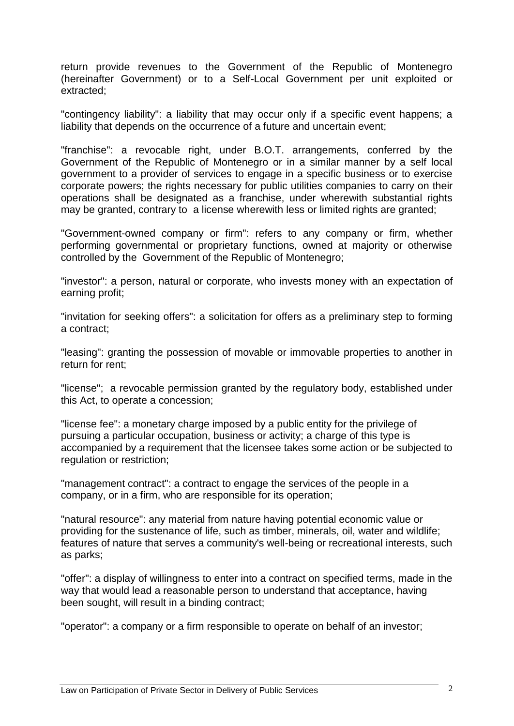return provide revenues to the Government of the Republic of Montenegro (hereinafter Government) or to a Self-Local Government per unit exploited or extracted;

"contingency liability": a liability that may occur only if a specific event happens; a liability that depends on the occurrence of a future and uncertain event;

"franchise": a revocable right, under B.O.T. arrangements, conferred by the Government of the Republic of Montenegro or in a similar manner by a self local government to a provider of services to engage in a specific business or to exercise corporate powers; the rights necessary for public utilities companies to carry on their operations shall be designated as a franchise, under wherewith substantial rights may be granted, contrary to a license wherewith less or limited rights are granted;

"Government-owned company or firm": refers to any company or firm, whether performing governmental or proprietary functions, owned at majority or otherwise controlled by the Government of the Republic of Montenegro;

"investor": a person, natural or corporate, who invests money with an expectation of earning profit;

"invitation for seeking offers": a solicitation for offers as a preliminary step to forming a contract;

"leasing": granting the possession of movable or immovable properties to another in return for rent;

"license"; a revocable permission granted by the regulatory body, established under this Act, to operate a concession;

"license fee": a monetary charge imposed by a public entity for the privilege of pursuing a particular occupation, business or activity; a charge of this type is accompanied by a requirement that the licensee takes some action or be subjected to regulation or restriction;

"management contract": a contract to engage the services of the people in a company, or in a firm, who are responsible for its operation;

"natural resource": any material from nature having potential economic value or providing for the sustenance of life, such as timber, minerals, oil, water and wildlife; features of nature that serves a community's well-being or recreational interests, such as parks;

"offer": a display of willingness to enter into a contract on specified terms, made in the way that would lead a reasonable person to understand that acceptance, having been sought, will result in a binding contract;

"operator": a company or a firm responsible to operate on behalf of an investor;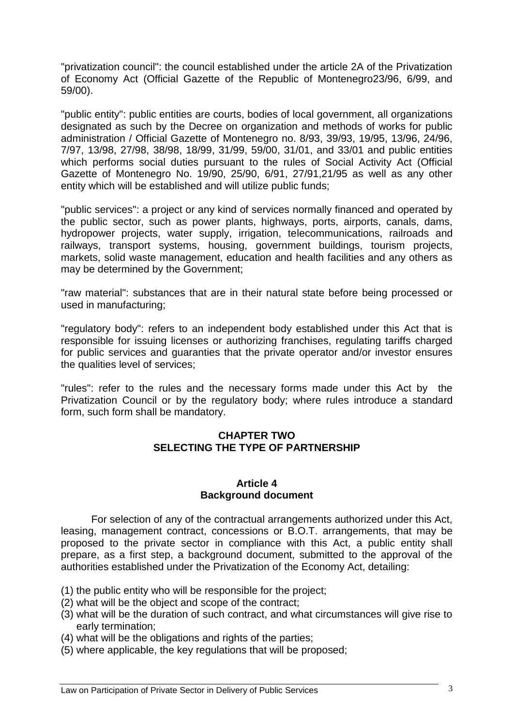"privatization council": the council established under the article 2A of the Privatization of Economy Act (Official Gazette of the Republic of Montenegro23/96, 6/99, and 59/00).

"public entity": public entities are courts, bodies of local government, all organizations designated as such by the Decree on organization and methods of works for public administration / Official Gazette of Montenegro no. 8/93, 39/93, 19/95, 13/96, 24/96, 7/97, 13/98, 27/98, 38/98, 18/99, 31/99, 59/00, 31/01, and 33/01 and public entities which performs social duties pursuant to the rules of Social Activity Act (Official Gazette of Montenegro No. 19/90, 25/90, 6/91, 27/91,21/95 as well as any other entity which will be established and will utilize public funds;

"public services": a project or any kind of services normally financed and operated by the public sector, such as power plants, highways, ports, airports, canals, dams, hydropower projects, water supply, irrigation, telecommunications, railroads and railways, transport systems, housing, government buildings, tourism projects, markets, solid waste management, education and health facilities and any others as may be determined by the Government;

"raw material": substances that are in their natural state before being processed or used in manufacturing;

"regulatory body": refers to an independent body established under this Act that is responsible for issuing licenses or authorizing franchises, regulating tariffs charged for public services and guaranties that the private operator and/or investor ensures the qualities level of services;

"rules": refer to the rules and the necessary forms made under this Act by the Privatization Council or by the regulatory body; where rules introduce a standard form, such form shall be mandatory.

## **CHAPTER TWO SELECTING THE TYPE OF PARTNERSHIP**

## **Article 4 Background document**

For selection of any of the contractual arrangements authorized under this Act, leasing, management contract, concessions or B.O.T. arrangements, that may be proposed to the private sector in compliance with this Act, a public entity shall prepare, as a first step, a background document, submitted to the approval of the authorities established under the Privatization of the Economy Act, detailing:

- (1) the public entity who will be responsible for the project;
- (2) what will be the object and scope of the contract;
- (3) what will be the duration of such contract, and what circumstances will give rise to early termination;
- (4) what will be the obligations and rights of the parties;
- (5) where applicable, the key regulations that will be proposed;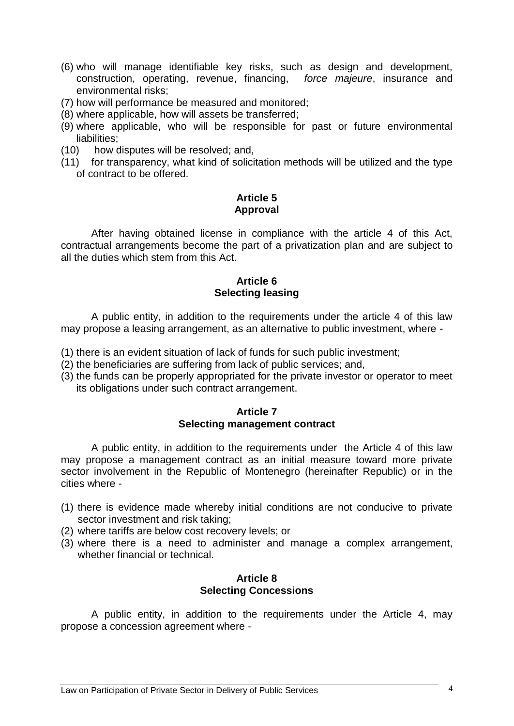- (6) who will manage identifiable key risks, such as design and development, construction, operating, revenue, financing, *force majeure*, insurance and environmental risks;
- (7) how will performance be measured and monitored;
- (8) where applicable, how will assets be transferred;
- (9) where applicable, who will be responsible for past or future environmental liabilities;
- (10) how disputes will be resolved; and,
- (11) for transparency, what kind of solicitation methods will be utilized and the type of contract to be offered.

# **Article 5 Approval**

After having obtained license in compliance with the article 4 of this Act, contractual arrangements become the part of a privatization plan and are subject to all the duties which stem from this Act.

# **Article 6 Selecting leasing**

A public entity, in addition to the requirements under the article 4 of this law may propose a leasing arrangement, as an alternative to public investment, where -

- (1) there is an evident situation of lack of funds for such public investment;
- (2) the beneficiaries are suffering from lack of public services; and,
- (3) the funds can be properly appropriated for the private investor or operator to meet its obligations under such contract arrangement.

## **Article 7 Selecting management contract**

A public entity, in addition to the requirements under the Article 4 of this law may propose a management contract as an initial measure toward more private sector involvement in the Republic of Montenegro (hereinafter Republic) or in the cities where -

- (1) there is evidence made whereby initial conditions are not conducive to private sector investment and risk taking;
- (2) where tariffs are below cost recovery levels; or
- (3) where there is a need to administer and manage a complex arrangement, whether financial or technical.

## **Article 8 Selecting Concessions**

A public entity, in addition to the requirements under the Article 4, may propose a concession agreement where -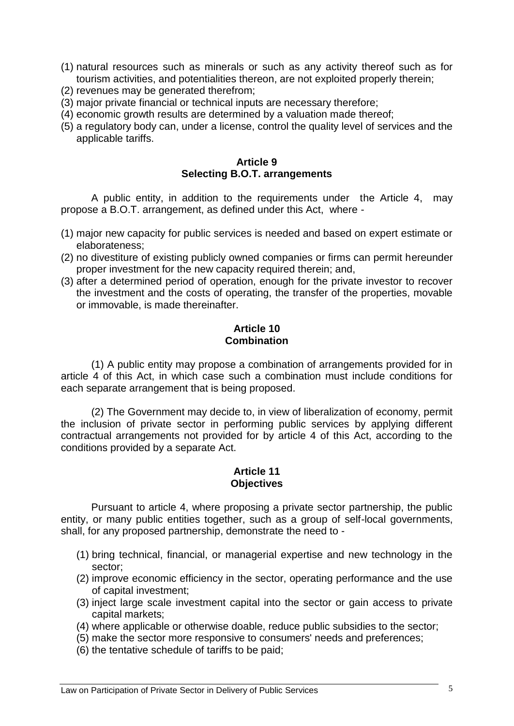- (1) natural resources such as minerals or such as any activity thereof such as for tourism activities, and potentialities thereon, are not exploited properly therein;
- (2) revenues may be generated therefrom;
- (3) major private financial or technical inputs are necessary therefore;
- (4) economic growth results are determined by a valuation made thereof;
- (5) a regulatory body can, under a license, control the quality level of services and the applicable tariffs.

# **Article 9 Selecting B.O.T. arrangements**

A public entity, in addition to the requirements under the Article 4, may propose a B.O.T. arrangement, as defined under this Act, where -

- (1) major new capacity for public services is needed and based on expert estimate or elaborateness;
- (2) no divestiture of existing publicly owned companies or firms can permit hereunder proper investment for the new capacity required therein; and,
- (3) after a determined period of operation, enough for the private investor to recover the investment and the costs of operating, the transfer of the properties, movable or immovable, is made thereinafter.

### **Article 10 Combination**

(1) A public entity may propose a combination of arrangements provided for in article 4 of this Act, in which case such a combination must include conditions for each separate arrangement that is being proposed.

(2) The Government may decide to, in view of liberalization of economy, permit the inclusion of private sector in performing public services by applying different contractual arrangements not provided for by article 4 of this Act, according to the conditions provided by a separate Act.

## **Article 11 Objectives**

Pursuant to article 4, where proposing a private sector partnership, the public entity, or many public entities together, such as a group of self-local governments, shall, for any proposed partnership, demonstrate the need to -

- (1) bring technical, financial, or managerial expertise and new technology in the sector;
- (2) improve economic efficiency in the sector, operating performance and the use of capital investment;
- (3) inject large scale investment capital into the sector or gain access to private capital markets;
- (4) where applicable or otherwise doable, reduce public subsidies to the sector;
- (5) make the sector more responsive to consumers' needs and preferences;
- (6) the tentative schedule of tariffs to be paid;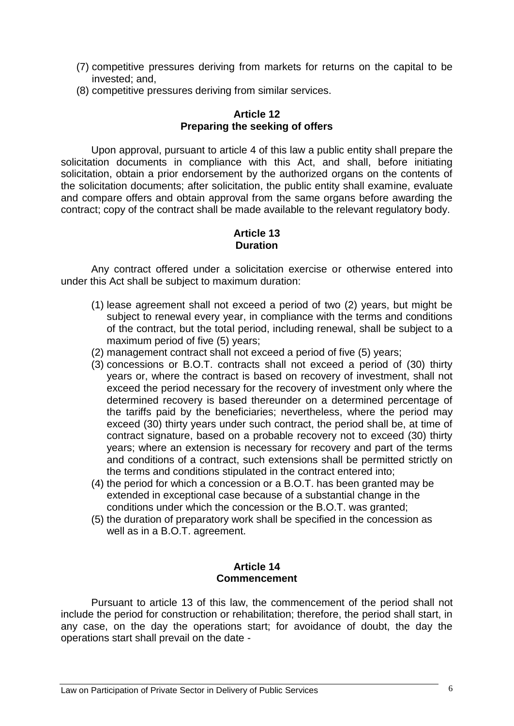- (7) competitive pressures deriving from markets for returns on the capital to be invested; and,
- (8) competitive pressures deriving from similar services.

### **Article 12 Preparing the seeking of offers**

Upon approval, pursuant to article 4 of this law a public entity shall prepare the solicitation documents in compliance with this Act, and shall, before initiating solicitation, obtain a prior endorsement by the authorized organs on the contents of the solicitation documents; after solicitation, the public entity shall examine, evaluate and compare offers and obtain approval from the same organs before awarding the contract; copy of the contract shall be made available to the relevant regulatory body.

# **Article 13 Duration**

Any contract offered under a solicitation exercise or otherwise entered into under this Act shall be subject to maximum duration:

- (1) lease agreement shall not exceed a period of two (2) years, but might be subject to renewal every year, in compliance with the terms and conditions of the contract, but the total period, including renewal, shall be subject to a maximum period of five (5) years;
- (2) management contract shall not exceed a period of five (5) years;
- (3) concessions or B.O.T. contracts shall not exceed a period of (30) thirty years or, where the contract is based on recovery of investment, shall not exceed the period necessary for the recovery of investment only where the determined recovery is based thereunder on a determined percentage of the tariffs paid by the beneficiaries; nevertheless, where the period may exceed (30) thirty years under such contract, the period shall be, at time of contract signature, based on a probable recovery not to exceed (30) thirty years; where an extension is necessary for recovery and part of the terms and conditions of a contract, such extensions shall be permitted strictly on the terms and conditions stipulated in the contract entered into;
- (4) the period for which a concession or a B.O.T. has been granted may be extended in exceptional case because of a substantial change in the conditions under which the concession or the B.O.T. was granted;
- (5) the duration of preparatory work shall be specified in the concession as well as in a B.O.T. agreement.

### **Article 14 Commencement**

Pursuant to article 13 of this law, the commencement of the period shall not include the period for construction or rehabilitation; therefore, the period shall start, in any case, on the day the operations start; for avoidance of doubt, the day the operations start shall prevail on the date -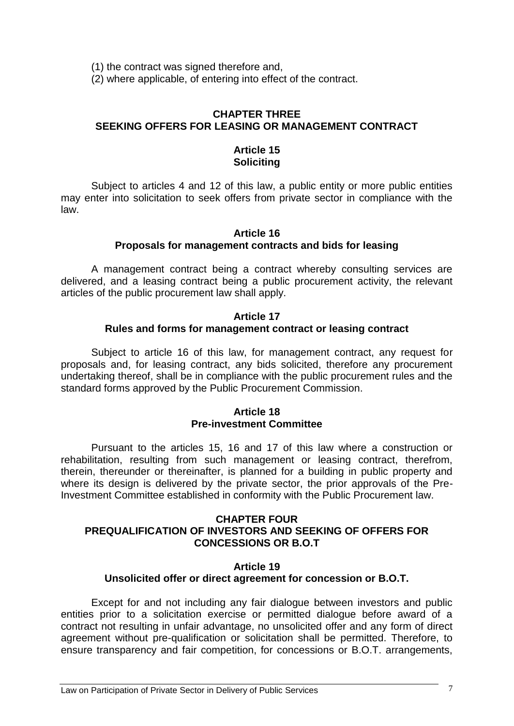(1) the contract was signed therefore and,

(2) where applicable, of entering into effect of the contract.

# **CHAPTER THREE SEEKING OFFERS FOR LEASING OR MANAGEMENT CONTRACT**

# **Article 15 Soliciting**

Subject to articles 4 and 12 of this law, a public entity or more public entities may enter into solicitation to seek offers from private sector in compliance with the law.

### **Article 16 Proposals for management contracts and bids for leasing**

A management contract being a contract whereby consulting services are delivered, and a leasing contract being a public procurement activity, the relevant articles of the public procurement law shall apply.

#### **Article 17 Rules and forms for management contract or leasing contract**

Subject to article 16 of this law, for management contract, any request for proposals and, for leasing contract, any bids solicited, therefore any procurement undertaking thereof, shall be in compliance with the public procurement rules and the standard forms approved by the Public Procurement Commission.

# **Article 18 Pre-investment Committee**

Pursuant to the articles 15, 16 and 17 of this law where a construction or rehabilitation, resulting from such management or leasing contract, therefrom, therein, thereunder or thereinafter, is planned for a building in public property and where its design is delivered by the private sector, the prior approvals of the Pre-Investment Committee established in conformity with the Public Procurement law.

# **CHAPTER FOUR PREQUALIFICATION OF INVESTORS AND SEEKING OF OFFERS FOR CONCESSIONS OR B.O.T**

# **Article 19 Unsolicited offer or direct agreement for concession or B.O.T.**

Except for and not including any fair dialogue between investors and public entities prior to a solicitation exercise or permitted dialogue before award of a contract not resulting in unfair advantage, no unsolicited offer and any form of direct agreement without pre-qualification or solicitation shall be permitted. Therefore, to ensure transparency and fair competition, for concessions or B.O.T. arrangements,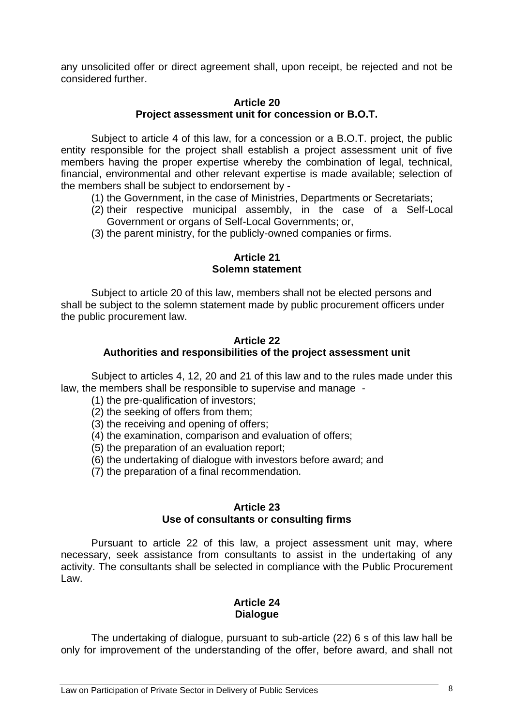any unsolicited offer or direct agreement shall, upon receipt, be rejected and not be considered further.

### **Article 20**

### **Project assessment unit for concession or B.O.T.**

Subject to article 4 of this law, for a concession or a B.O.T. project, the public entity responsible for the project shall establish a project assessment unit of five members having the proper expertise whereby the combination of legal, technical, financial, environmental and other relevant expertise is made available; selection of the members shall be subject to endorsement by -

- (1) the Government, in the case of Ministries, Departments or Secretariats;
- (2) their respective municipal assembly, in the case of a Self-Local Government or organs of Self-Local Governments; or,
- (3) the parent ministry, for the publicly-owned companies or firms.

### **Article 21 Solemn statement**

Subject to article 20 of this law, members shall not be elected persons and shall be subject to the solemn statement made by public procurement officers under the public procurement law.

#### **Article 22 Authorities and responsibilities of the project assessment unit**

Subject to articles 4, 12, 20 and 21 of this law and to the rules made under this law, the members shall be responsible to supervise and manage -

- (1) the pre-qualification of investors;
- (2) the seeking of offers from them;
- (3) the receiving and opening of offers;
- (4) the examination, comparison and evaluation of offers;
- (5) the preparation of an evaluation report;
- (6) the undertaking of dialogue with investors before award; and

(7) the preparation of a final recommendation.

#### **Article 23 Use of consultants or consulting firms**

Pursuant to article 22 of this law, a project assessment unit may, where necessary, seek assistance from consultants to assist in the undertaking of any activity. The consultants shall be selected in compliance with the Public Procurement Law.

### **Article 24 Dialogue**

The undertaking of dialogue, pursuant to sub-article (22) 6 s of this law hall be only for improvement of the understanding of the offer, before award, and shall not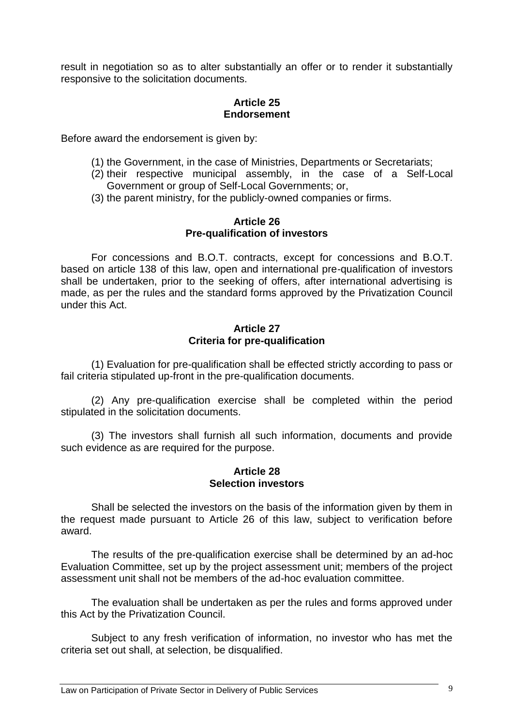result in negotiation so as to alter substantially an offer or to render it substantially responsive to the solicitation documents.

# **Article 25 Endorsement**

Before award the endorsement is given by:

- (1) the Government, in the case of Ministries, Departments or Secretariats;
- (2) their respective municipal assembly, in the case of a Self-Local Government or group of Self-Local Governments; or,
- (3) the parent ministry, for the publicly-owned companies or firms.

## **Article 26 Pre-qualification of investors**

For concessions and B.O.T. contracts, except for concessions and B.O.T. based on article 138 of this law, open and international pre-qualification of investors shall be undertaken, prior to the seeking of offers, after international advertising is made, as per the rules and the standard forms approved by the Privatization Council under this Act.

### **Article 27 Criteria for pre-qualification**

(1) Evaluation for pre-qualification shall be effected strictly according to pass or fail criteria stipulated up-front in the pre-qualification documents.

(2) Any pre-qualification exercise shall be completed within the period stipulated in the solicitation documents.

(3) The investors shall furnish all such information, documents and provide such evidence as are required for the purpose.

### **Article 28 Selection investors**

Shall be selected the investors on the basis of the information given by them in the request made pursuant to Article 26 of this law, subject to verification before award.

The results of the pre-qualification exercise shall be determined by an ad-hoc Evaluation Committee, set up by the project assessment unit; members of the project assessment unit shall not be members of the ad-hoc evaluation committee.

The evaluation shall be undertaken as per the rules and forms approved under this Act by the Privatization Council.

Subject to any fresh verification of information, no investor who has met the criteria set out shall, at selection, be disqualified.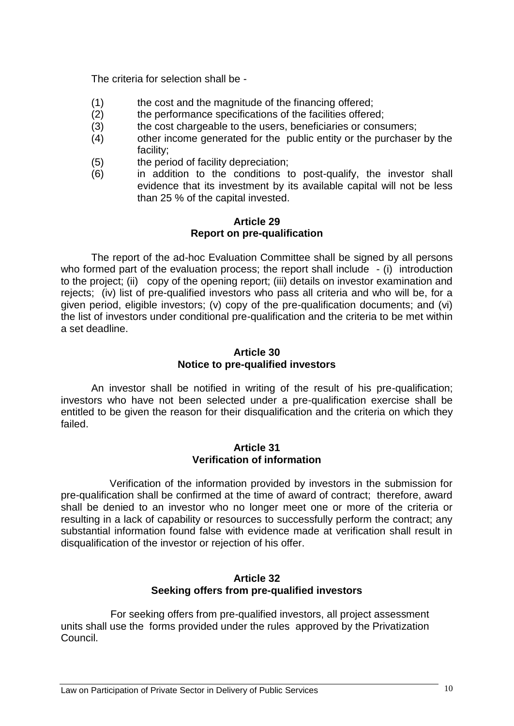The criteria for selection shall be -

- (1) the cost and the magnitude of the financing offered;
- (2) the performance specifications of the facilities offered;
- (3) the cost chargeable to the users, beneficiaries or consumers;
- (4) other income generated for the public entity or the purchaser by the facility;
- (5) the period of facility depreciation;
- (6) in addition to the conditions to post-qualify, the investor shall evidence that its investment by its available capital will not be less than 25 % of the capital invested.

## **Article 29 Report on pre-qualification**

The report of the ad-hoc Evaluation Committee shall be signed by all persons who formed part of the evaluation process; the report shall include - (i) introduction to the project; (ii) copy of the opening report; (iii) details on investor examination and rejects; (iv) list of pre-qualified investors who pass all criteria and who will be, for a given period, eligible investors; (v) copy of the pre-qualification documents; and (vi) the list of investors under conditional pre-qualification and the criteria to be met within a set deadline.

## **Article 30 Notice to pre-qualified investors**

An investor shall be notified in writing of the result of his pre-qualification; investors who have not been selected under a pre-qualification exercise shall be entitled to be given the reason for their disqualification and the criteria on which they failed.

#### **Article 31 Verification of information**

Verification of the information provided by investors in the submission for pre-qualification shall be confirmed at the time of award of contract; therefore, award shall be denied to an investor who no longer meet one or more of the criteria or resulting in a lack of capability or resources to successfully perform the contract; any substantial information found false with evidence made at verification shall result in disqualification of the investor or rejection of his offer.

### **Article 32 Seeking offers from pre-qualified investors**

For seeking offers from pre-qualified investors, all project assessment units shall use the forms provided under the rules approved by the Privatization Council.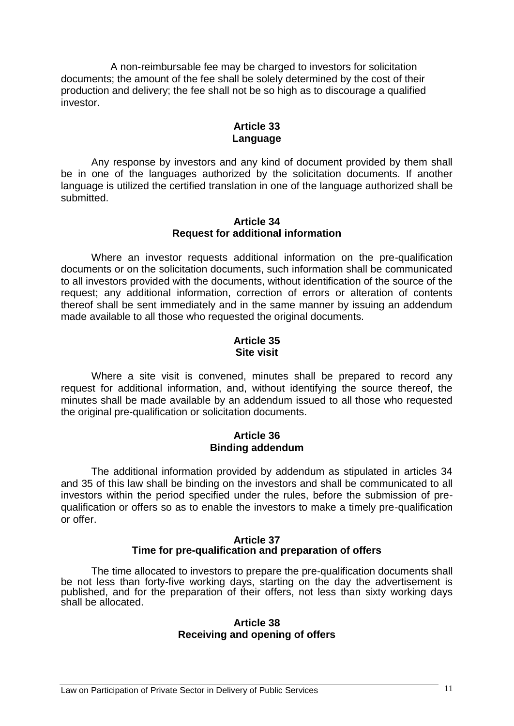A non-reimbursable fee may be charged to investors for solicitation documents; the amount of the fee shall be solely determined by the cost of their production and delivery; the fee shall not be so high as to discourage a qualified investor.

# **Article 33 Language**

Any response by investors and any kind of document provided by them shall be in one of the languages authorized by the solicitation documents. If another language is utilized the certified translation in one of the language authorized shall be submitted.

### **Article 34 Request for additional information**

Where an investor requests additional information on the pre-qualification documents or on the solicitation documents, such information shall be communicated to all investors provided with the documents, without identification of the source of the request; any additional information, correction of errors or alteration of contents thereof shall be sent immediately and in the same manner by issuing an addendum made available to all those who requested the original documents.

# **Article 35 Site visit**

Where a site visit is convened, minutes shall be prepared to record any request for additional information, and, without identifying the source thereof, the minutes shall be made available by an addendum issued to all those who requested the original pre-qualification or solicitation documents.

## **Article 36 Binding addendum**

The additional information provided by addendum as stipulated in articles 34 and 35 of this law shall be binding on the investors and shall be communicated to all investors within the period specified under the rules, before the submission of prequalification or offers so as to enable the investors to make a timely pre-qualification or offer.

#### **Article 37 Time for pre-qualification and preparation of offers**

The time allocated to investors to prepare the pre-qualification documents shall be not less than forty-five working days, starting on the day the advertisement is published, and for the preparation of their offers, not less than sixty working days shall be allocated.

### **Article 38 Receiving and opening of offers**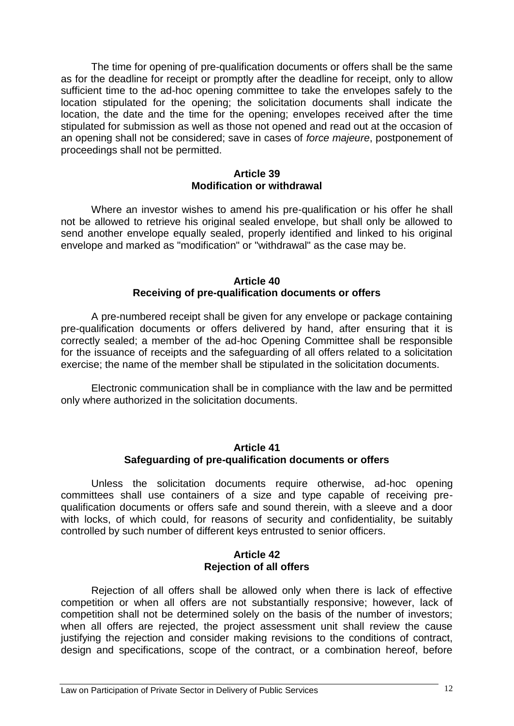The time for opening of pre-qualification documents or offers shall be the same as for the deadline for receipt or promptly after the deadline for receipt, only to allow sufficient time to the ad-hoc opening committee to take the envelopes safely to the location stipulated for the opening; the solicitation documents shall indicate the location, the date and the time for the opening; envelopes received after the time stipulated for submission as well as those not opened and read out at the occasion of an opening shall not be considered; save in cases of *force majeure*, postponement of proceedings shall not be permitted.

#### **Article 39 Modification or withdrawal**

Where an investor wishes to amend his pre-qualification or his offer he shall not be allowed to retrieve his original sealed envelope, but shall only be allowed to send another envelope equally sealed, properly identified and linked to his original envelope and marked as "modification" or "withdrawal" as the case may be.

# **Article 40 Receiving of pre-qualification documents or offers**

A pre-numbered receipt shall be given for any envelope or package containing pre-qualification documents or offers delivered by hand, after ensuring that it is correctly sealed; a member of the ad-hoc Opening Committee shall be responsible for the issuance of receipts and the safeguarding of all offers related to a solicitation exercise; the name of the member shall be stipulated in the solicitation documents.

Electronic communication shall be in compliance with the law and be permitted only where authorized in the solicitation documents.

## **Article 41 Safeguarding of pre-qualification documents or offers**

Unless the solicitation documents require otherwise, ad-hoc opening committees shall use containers of a size and type capable of receiving prequalification documents or offers safe and sound therein, with a sleeve and a door with locks, of which could, for reasons of security and confidentiality, be suitably controlled by such number of different keys entrusted to senior officers.

### **Article 42 Rejection of all offers**

Rejection of all offers shall be allowed only when there is lack of effective competition or when all offers are not substantially responsive; however, lack of competition shall not be determined solely on the basis of the number of investors; when all offers are rejected, the project assessment unit shall review the cause justifying the rejection and consider making revisions to the conditions of contract, design and specifications, scope of the contract, or a combination hereof, before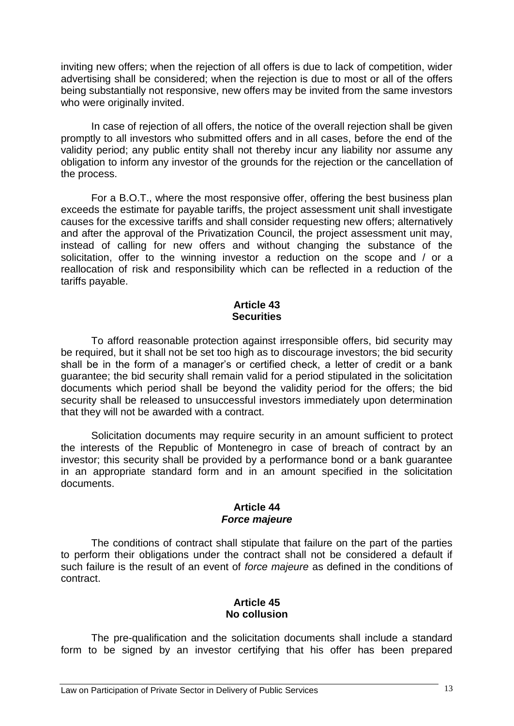inviting new offers; when the rejection of all offers is due to lack of competition, wider advertising shall be considered; when the rejection is due to most or all of the offers being substantially not responsive, new offers may be invited from the same investors who were originally invited.

In case of rejection of all offers, the notice of the overall rejection shall be given promptly to all investors who submitted offers and in all cases, before the end of the validity period; any public entity shall not thereby incur any liability nor assume any obligation to inform any investor of the grounds for the rejection or the cancellation of the process.

For a B.O.T., where the most responsive offer, offering the best business plan exceeds the estimate for payable tariffs, the project assessment unit shall investigate causes for the excessive tariffs and shall consider requesting new offers; alternatively and after the approval of the Privatization Council, the project assessment unit may, instead of calling for new offers and without changing the substance of the solicitation, offer to the winning investor a reduction on the scope and / or a reallocation of risk and responsibility which can be reflected in a reduction of the tariffs payable.

# **Article 43 Securities**

To afford reasonable protection against irresponsible offers, bid security may be required, but it shall not be set too high as to discourage investors; the bid security shall be in the form of a manager's or certified check, a letter of credit or a bank guarantee; the bid security shall remain valid for a period stipulated in the solicitation documents which period shall be beyond the validity period for the offers; the bid security shall be released to unsuccessful investors immediately upon determination that they will not be awarded with a contract.

Solicitation documents may require security in an amount sufficient to protect the interests of the Republic of Montenegro in case of breach of contract by an investor; this security shall be provided by a performance bond or a bank guarantee in an appropriate standard form and in an amount specified in the solicitation documents.

### **Article 44** *Force majeure*

The conditions of contract shall stipulate that failure on the part of the parties to perform their obligations under the contract shall not be considered a default if such failure is the result of an event of *force majeure* as defined in the conditions of contract.

## **Article 45 No collusion**

The pre-qualification and the solicitation documents shall include a standard form to be signed by an investor certifying that his offer has been prepared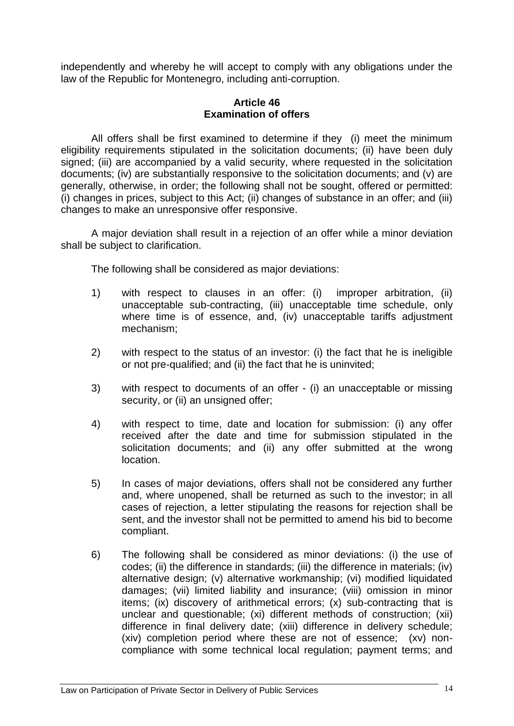independently and whereby he will accept to comply with any obligations under the law of the Republic for Montenegro, including anti-corruption.

# **Article 46 Examination of offers**

All offers shall be first examined to determine if they (i) meet the minimum eligibility requirements stipulated in the solicitation documents; (ii) have been duly signed; (iii) are accompanied by a valid security, where requested in the solicitation documents; (iv) are substantially responsive to the solicitation documents; and (v) are generally, otherwise, in order; the following shall not be sought, offered or permitted: (i) changes in prices, subject to this Act; (ii) changes of substance in an offer; and (iii) changes to make an unresponsive offer responsive.

A major deviation shall result in a rejection of an offer while a minor deviation shall be subject to clarification.

The following shall be considered as major deviations:

- 1) with respect to clauses in an offer: (i) improper arbitration, (ii) unacceptable sub-contracting, (iii) unacceptable time schedule, only where time is of essence, and, (iv) unacceptable tariffs adjustment mechanism;
- 2) with respect to the status of an investor: (i) the fact that he is ineligible or not pre-qualified; and (ii) the fact that he is uninvited;
- 3) with respect to documents of an offer (i) an unacceptable or missing security, or (ii) an unsigned offer;
- 4) with respect to time, date and location for submission: (i) any offer received after the date and time for submission stipulated in the solicitation documents; and (ii) any offer submitted at the wrong location.
- 5) In cases of major deviations, offers shall not be considered any further and, where unopened, shall be returned as such to the investor; in all cases of rejection, a letter stipulating the reasons for rejection shall be sent, and the investor shall not be permitted to amend his bid to become compliant.
- 6) The following shall be considered as minor deviations: (i) the use of codes; (ii) the difference in standards; (iii) the difference in materials; (iv) alternative design; (v) alternative workmanship; (vi) modified liquidated damages; (vii) limited liability and insurance; (viii) omission in minor items; (ix) discovery of arithmetical errors; (x) sub-contracting that is unclear and questionable; (xi) different methods of construction; (xii) difference in final delivery date; (xiii) difference in delivery schedule; (xiv) completion period where these are not of essence; (xv) noncompliance with some technical local regulation; payment terms; and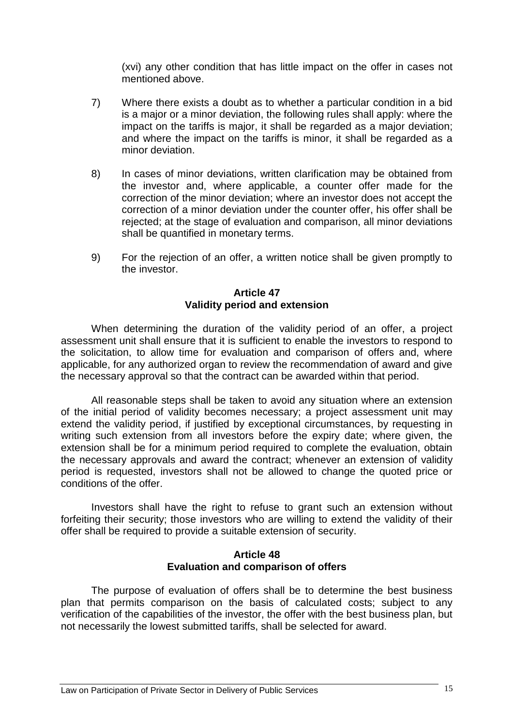(xvi) any other condition that has little impact on the offer in cases not mentioned above.

- 7) Where there exists a doubt as to whether a particular condition in a bid is a major or a minor deviation, the following rules shall apply: where the impact on the tariffs is major, it shall be regarded as a major deviation; and where the impact on the tariffs is minor, it shall be regarded as a minor deviation.
- 8) In cases of minor deviations, written clarification may be obtained from the investor and, where applicable, a counter offer made for the correction of the minor deviation; where an investor does not accept the correction of a minor deviation under the counter offer, his offer shall be rejected; at the stage of evaluation and comparison, all minor deviations shall be quantified in monetary terms.
- 9) For the rejection of an offer, a written notice shall be given promptly to the investor.

## **Article 47 Validity period and extension**

When determining the duration of the validity period of an offer, a project assessment unit shall ensure that it is sufficient to enable the investors to respond to the solicitation, to allow time for evaluation and comparison of offers and, where applicable, for any authorized organ to review the recommendation of award and give the necessary approval so that the contract can be awarded within that period.

All reasonable steps shall be taken to avoid any situation where an extension of the initial period of validity becomes necessary; a project assessment unit may extend the validity period, if justified by exceptional circumstances, by requesting in writing such extension from all investors before the expiry date; where given, the extension shall be for a minimum period required to complete the evaluation, obtain the necessary approvals and award the contract; whenever an extension of validity period is requested, investors shall not be allowed to change the quoted price or conditions of the offer.

Investors shall have the right to refuse to grant such an extension without forfeiting their security; those investors who are willing to extend the validity of their offer shall be required to provide a suitable extension of security.

#### **Article 48 Evaluation and comparison of offers**

The purpose of evaluation of offers shall be to determine the best business plan that permits comparison on the basis of calculated costs; subject to any verification of the capabilities of the investor, the offer with the best business plan, but not necessarily the lowest submitted tariffs, shall be selected for award.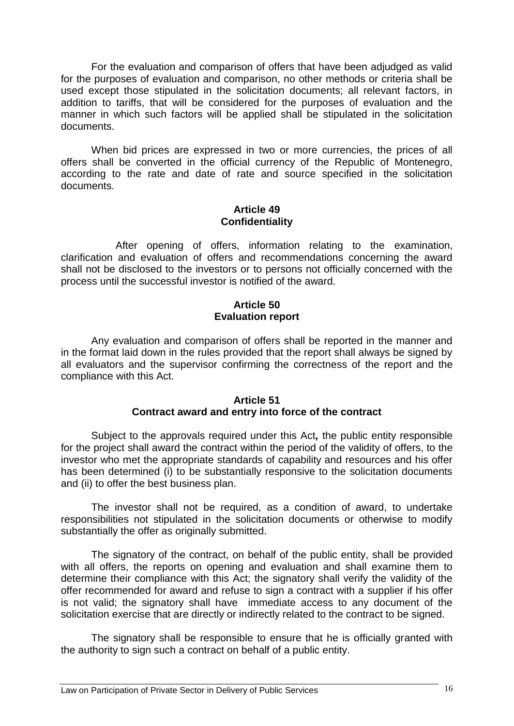For the evaluation and comparison of offers that have been adjudged as valid for the purposes of evaluation and comparison, no other methods or criteria shall be used except those stipulated in the solicitation documents; all relevant factors, in addition to tariffs, that will be considered for the purposes of evaluation and the manner in which such factors will be applied shall be stipulated in the solicitation documents.

When bid prices are expressed in two or more currencies, the prices of all offers shall be converted in the official currency of the Republic of Montenegro, according to the rate and date of rate and source specified in the solicitation documents.

## **Article 49 Confidentiality**

 After opening of offers, information relating to the examination, clarification and evaluation of offers and recommendations concerning the award shall not be disclosed to the investors or to persons not officially concerned with the process until the successful investor is notified of the award.

# **Article 50 Evaluation report**

Any evaluation and comparison of offers shall be reported in the manner and in the format laid down in the rules provided that the report shall always be signed by all evaluators and the supervisor confirming the correctness of the report and the compliance with this Act.

## **Article 51 Contract award and entry into force of the contract**

Subject to the approvals required under this Act*,* the public entity responsible for the project shall award the contract within the period of the validity of offers, to the investor who met the appropriate standards of capability and resources and his offer has been determined (i) to be substantially responsive to the solicitation documents and (ii) to offer the best business plan.

The investor shall not be required, as a condition of award, to undertake responsibilities not stipulated in the solicitation documents or otherwise to modify substantially the offer as originally submitted.

The signatory of the contract, on behalf of the public entity, shall be provided with all offers, the reports on opening and evaluation and shall examine them to determine their compliance with this Act; the signatory shall verify the validity of the offer recommended for award and refuse to sign a contract with a supplier if his offer is not valid; the signatory shall have immediate access to any document of the solicitation exercise that are directly or indirectly related to the contract to be signed.

The signatory shall be responsible to ensure that he is officially granted with the authority to sign such a contract on behalf of a public entity.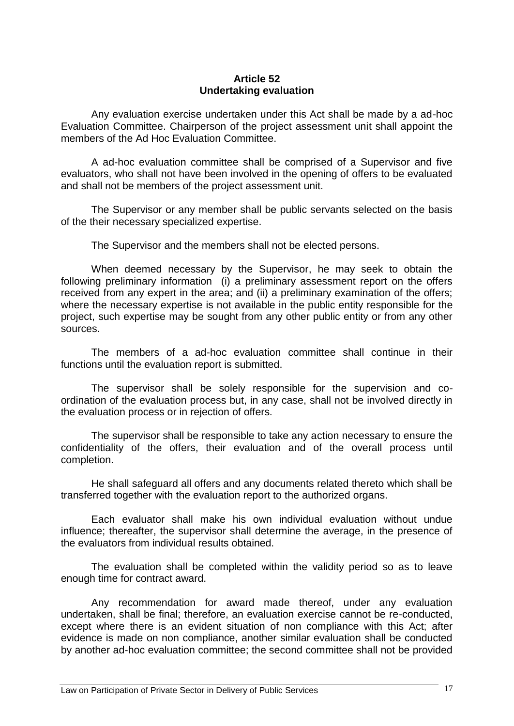# **Article 52 Undertaking evaluation**

Any evaluation exercise undertaken under this Act shall be made by a ad-hoc Evaluation Committee. Chairperson of the project assessment unit shall appoint the members of the Ad Hoc Evaluation Committee.

A ad-hoc evaluation committee shall be comprised of a Supervisor and five evaluators, who shall not have been involved in the opening of offers to be evaluated and shall not be members of the project assessment unit.

The Supervisor or any member shall be public servants selected on the basis of the their necessary specialized expertise.

The Supervisor and the members shall not be elected persons.

When deemed necessary by the Supervisor, he may seek to obtain the following preliminary information (i) a preliminary assessment report on the offers received from any expert in the area; and (ii) a preliminary examination of the offers; where the necessary expertise is not available in the public entity responsible for the project, such expertise may be sought from any other public entity or from any other sources.

The members of a ad-hoc evaluation committee shall continue in their functions until the evaluation report is submitted.

The supervisor shall be solely responsible for the supervision and coordination of the evaluation process but, in any case, shall not be involved directly in the evaluation process or in rejection of offers.

The supervisor shall be responsible to take any action necessary to ensure the confidentiality of the offers, their evaluation and of the overall process until completion.

He shall safeguard all offers and any documents related thereto which shall be transferred together with the evaluation report to the authorized organs.

Each evaluator shall make his own individual evaluation without undue influence; thereafter, the supervisor shall determine the average, in the presence of the evaluators from individual results obtained.

The evaluation shall be completed within the validity period so as to leave enough time for contract award.

Any recommendation for award made thereof, under any evaluation undertaken, shall be final; therefore, an evaluation exercise cannot be re-conducted, except where there is an evident situation of non compliance with this Act; after evidence is made on non compliance, another similar evaluation shall be conducted by another ad-hoc evaluation committee; the second committee shall not be provided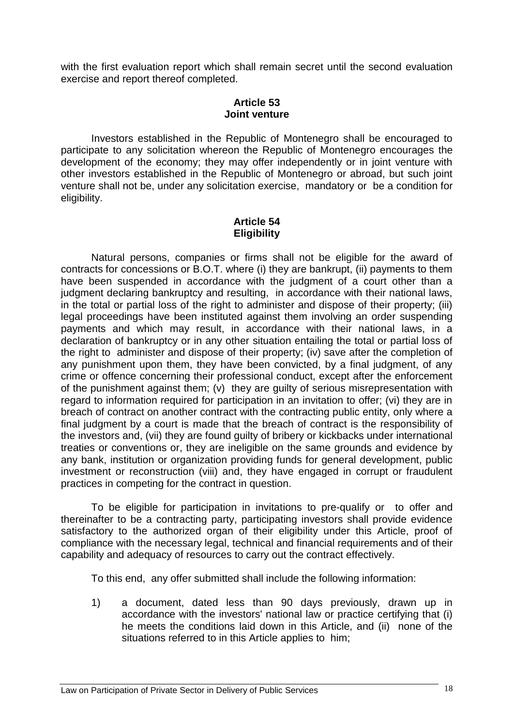with the first evaluation report which shall remain secret until the second evaluation exercise and report thereof completed.

# **Article 53 Joint venture**

Investors established in the Republic of Montenegro shall be encouraged to participate to any solicitation whereon the Republic of Montenegro encourages the development of the economy; they may offer independently or in joint venture with other investors established in the Republic of Montenegro or abroad, but such joint venture shall not be, under any solicitation exercise, mandatory or be a condition for eligibility.

# **Article 54 Eligibility**

Natural persons, companies or firms shall not be eligible for the award of contracts for concessions or B.O.T. where (i) they are bankrupt, (ii) payments to them have been suspended in accordance with the judgment of a court other than a judgment declaring bankruptcy and resulting, in accordance with their national laws, in the total or partial loss of the right to administer and dispose of their property; (iii) legal proceedings have been instituted against them involving an order suspending payments and which may result, in accordance with their national laws, in a declaration of bankruptcy or in any other situation entailing the total or partial loss of the right to administer and dispose of their property; (iv) save after the completion of any punishment upon them, they have been convicted, by a final judgment, of any crime or offence concerning their professional conduct, except after the enforcement of the punishment against them; (v) they are guilty of serious misrepresentation with regard to information required for participation in an invitation to offer; (vi) they are in breach of contract on another contract with the contracting public entity, only where a final judgment by a court is made that the breach of contract is the responsibility of the investors and, (vii) they are found guilty of bribery or kickbacks under international treaties or conventions or, they are ineligible on the same grounds and evidence by any bank, institution or organization providing funds for general development, public investment or reconstruction (viii) and, they have engaged in corrupt or fraudulent practices in competing for the contract in question.

To be eligible for participation in invitations to pre-qualify or to offer and thereinafter to be a contracting party, participating investors shall provide evidence satisfactory to the authorized organ of their eligibility under this Article, proof of compliance with the necessary legal, technical and financial requirements and of their capability and adequacy of resources to carry out the contract effectively.

To this end, any offer submitted shall include the following information:

1) a document, dated less than 90 days previously, drawn up in accordance with the investors' national law or practice certifying that (i) he meets the conditions laid down in this Article, and (ii) none of the situations referred to in this Article applies to him;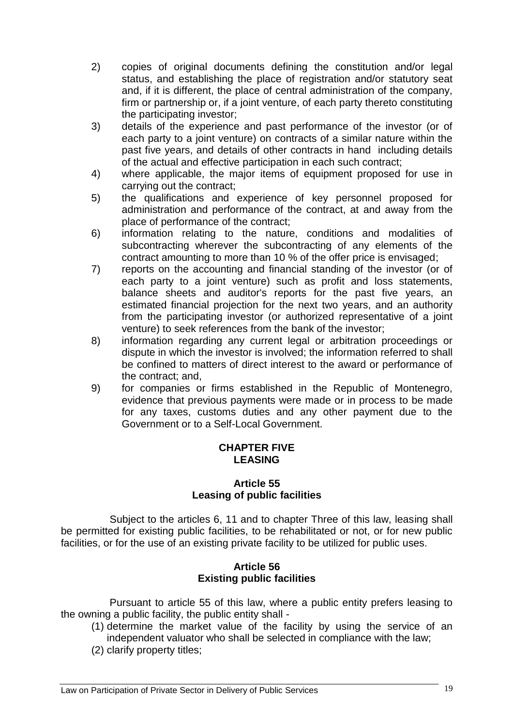- 2) copies of original documents defining the constitution and/or legal status, and establishing the place of registration and/or statutory seat and, if it is different, the place of central administration of the company, firm or partnership or, if a joint venture, of each party thereto constituting the participating investor;
- 3) details of the experience and past performance of the investor (or of each party to a joint venture) on contracts of a similar nature within the past five years, and details of other contracts in hand including details of the actual and effective participation in each such contract;
- 4) where applicable, the major items of equipment proposed for use in carrying out the contract;
- 5) the qualifications and experience of key personnel proposed for administration and performance of the contract, at and away from the place of performance of the contract;
- 6) information relating to the nature, conditions and modalities of subcontracting wherever the subcontracting of any elements of the contract amounting to more than 10 % of the offer price is envisaged;
- 7) reports on the accounting and financial standing of the investor (or of each party to a joint venture) such as profit and loss statements, balance sheets and auditor's reports for the past five years, an estimated financial projection for the next two years, and an authority from the participating investor (or authorized representative of a joint venture) to seek references from the bank of the investor;
- 8) information regarding any current legal or arbitration proceedings or dispute in which the investor is involved; the information referred to shall be confined to matters of direct interest to the award or performance of the contract; and,
- 9) for companies or firms established in the Republic of Montenegro, evidence that previous payments were made or in process to be made for any taxes, customs duties and any other payment due to the Government or to a Self-Local Government.

# **CHAPTER FIVE LEASING**

# **Article 55 Leasing of public facilities**

Subject to the articles 6, 11 and to chapter Three of this law, leasing shall be permitted for existing public facilities, to be rehabilitated or not, or for new public facilities, or for the use of an existing private facility to be utilized for public uses.

# **Article 56 Existing public facilities**

Pursuant to article 55 of this law, where a public entity prefers leasing to the owning a public facility, the public entity shall -

- (1) determine the market value of the facility by using the service of an independent valuator who shall be selected in compliance with the law;
- (2) clarify property titles;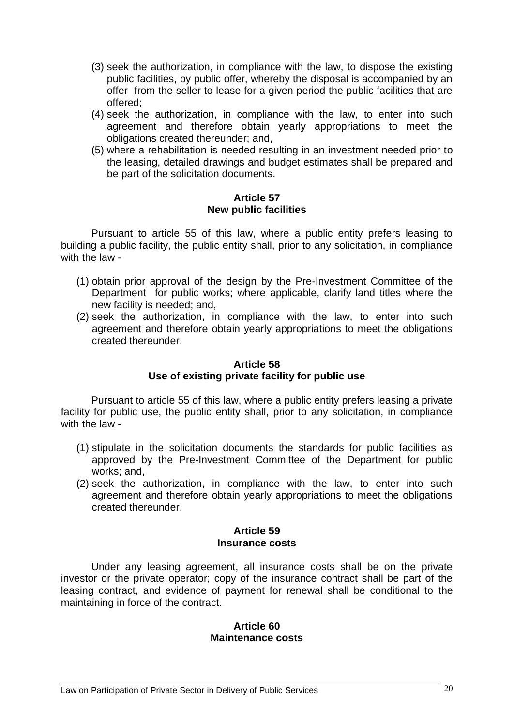- (3) seek the authorization, in compliance with the law, to dispose the existing public facilities, by public offer, whereby the disposal is accompanied by an offer from the seller to lease for a given period the public facilities that are offered;
- (4) seek the authorization, in compliance with the law, to enter into such agreement and therefore obtain yearly appropriations to meet the obligations created thereunder; and,
- (5) where a rehabilitation is needed resulting in an investment needed prior to the leasing, detailed drawings and budget estimates shall be prepared and be part of the solicitation documents.

# **Article 57 New public facilities**

Pursuant to article 55 of this law, where a public entity prefers leasing to building a public facility, the public entity shall, prior to any solicitation, in compliance with the law -

- (1) obtain prior approval of the design by the Pre-Investment Committee of the Department for public works; where applicable, clarify land titles where the new facility is needed; and,
- (2) seek the authorization, in compliance with the law, to enter into such agreement and therefore obtain yearly appropriations to meet the obligations created thereunder.

# **Article 58 Use of existing private facility for public use**

Pursuant to article 55 of this law, where a public entity prefers leasing a private facility for public use, the public entity shall, prior to any solicitation, in compliance with the law -

- (1) stipulate in the solicitation documents the standards for public facilities as approved by the Pre-Investment Committee of the Department for public works; and,
- (2) seek the authorization, in compliance with the law, to enter into such agreement and therefore obtain yearly appropriations to meet the obligations created thereunder.

# **Article 59 Insurance costs**

Under any leasing agreement, all insurance costs shall be on the private investor or the private operator; copy of the insurance contract shall be part of the leasing contract, and evidence of payment for renewal shall be conditional to the maintaining in force of the contract.

#### **Article 60 Maintenance costs**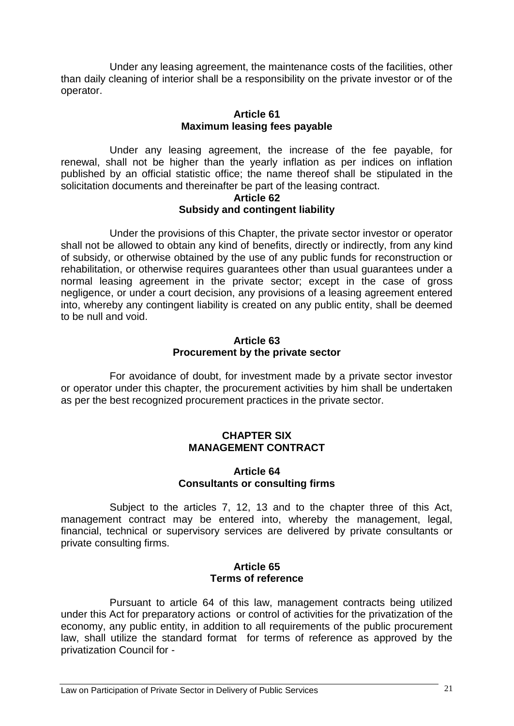Under any leasing agreement, the maintenance costs of the facilities, other than daily cleaning of interior shall be a responsibility on the private investor or of the operator.

### **Article 61 Maximum leasing fees payable**

Under any leasing agreement, the increase of the fee payable, for renewal, shall not be higher than the yearly inflation as per indices on inflation published by an official statistic office; the name thereof shall be stipulated in the solicitation documents and thereinafter be part of the leasing contract.

# **Article 62 Subsidy and contingent liability**

Under the provisions of this Chapter, the private sector investor or operator shall not be allowed to obtain any kind of benefits, directly or indirectly, from any kind of subsidy, or otherwise obtained by the use of any public funds for reconstruction or rehabilitation, or otherwise requires guarantees other than usual guarantees under a normal leasing agreement in the private sector; except in the case of gross negligence, or under a court decision, any provisions of a leasing agreement entered into, whereby any contingent liability is created on any public entity, shall be deemed to be null and void.

### **Article 63 Procurement by the private sector**

For avoidance of doubt, for investment made by a private sector investor or operator under this chapter, the procurement activities by him shall be undertaken as per the best recognized procurement practices in the private sector.

## **CHAPTER SIX MANAGEMENT CONTRACT**

# **Article 64 Consultants or consulting firms**

Subject to the articles 7, 12, 13 and to the chapter three of this Act, management contract may be entered into, whereby the management, legal, financial, technical or supervisory services are delivered by private consultants or private consulting firms.

### **Article 65 Terms of reference**

Pursuant to article 64 of this law, management contracts being utilized under this Act for preparatory actions or control of activities for the privatization of the economy, any public entity, in addition to all requirements of the public procurement law, shall utilize the standard format for terms of reference as approved by the privatization Council for -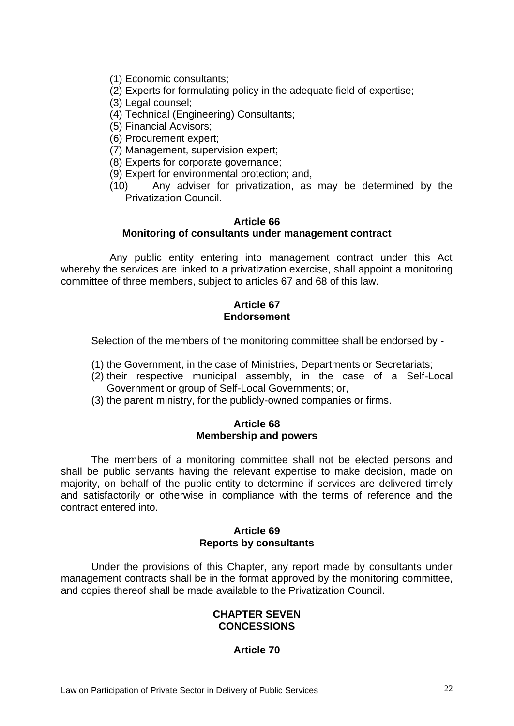(1) Economic consultants;

(2) Experts for formulating policy in the adequate field of expertise;

(3) Legal counsel;

(4) Technical (Engineering) Consultants;

(5) Financial Advisors;

(6) Procurement expert;

(7) Management, supervision expert;

(8) Experts for corporate governance;

(9) Expert for environmental protection; and,

(10) Any adviser for privatization, as may be determined by the Privatization Council.

#### **Article 66**

### **Monitoring of consultants under management contract**

Any public entity entering into management contract under this Act whereby the services are linked to a privatization exercise, shall appoint a monitoring committee of three members, subject to articles 67 and 68 of this law.

# **Article 67 Endorsement**

Selection of the members of the monitoring committee shall be endorsed by -

- (1) the Government, in the case of Ministries, Departments or Secretariats;
- (2) their respective municipal assembly, in the case of a Self-Local Government or group of Self-Local Governments; or,
- (3) the parent ministry, for the publicly-owned companies or firms.

## **Article 68 Membership and powers**

The members of a monitoring committee shall not be elected persons and shall be public servants having the relevant expertise to make decision, made on majority, on behalf of the public entity to determine if services are delivered timely and satisfactorily or otherwise in compliance with the terms of reference and the contract entered into.

# **Article 69 Reports by consultants**

Under the provisions of this Chapter, any report made by consultants under management contracts shall be in the format approved by the monitoring committee, and copies thereof shall be made available to the Privatization Council.

### **CHAPTER SEVEN CONCESSIONS**

## **Article 70**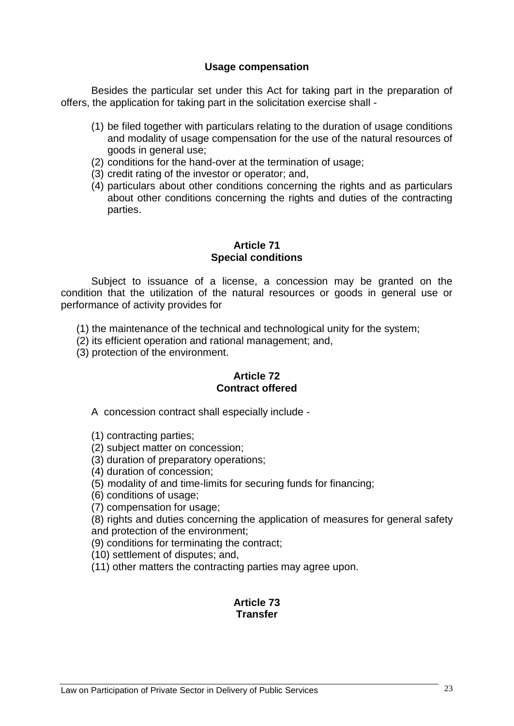## **Usage compensation**

Besides the particular set under this Act for taking part in the preparation of offers, the application for taking part in the solicitation exercise shall -

- (1) be filed together with particulars relating to the duration of usage conditions and modality of usage compensation for the use of the natural resources of goods in general use;
- (2) conditions for the hand-over at the termination of usage;
- (3) credit rating of the investor or operator; and,
- (4) particulars about other conditions concerning the rights and as particulars about other conditions concerning the rights and duties of the contracting parties.

### **Article 71 Special conditions**

Subject to issuance of a license, a concession may be granted on the condition that the utilization of the natural resources or goods in general use or performance of activity provides for

- (1) the maintenance of the technical and technological unity for the system;
- (2) its efficient operation and rational management; and,
- (3) protection of the environment.

### **Article 72 Contract offered**

A concession contract shall especially include -

(1) contracting parties;

(2) subject matter on concession;

(3) duration of preparatory operations;

(4) duration of concession;

(5) modality of and time-limits for securing funds for financing;

(6) conditions of usage;

(7) compensation for usage;

(8) rights and duties concerning the application of measures for general safety and protection of the environment;

(9) conditions for terminating the contract;

(10) settlement of disputes; and,

(11) other matters the contracting parties may agree upon.

### **Article 73 Transfer**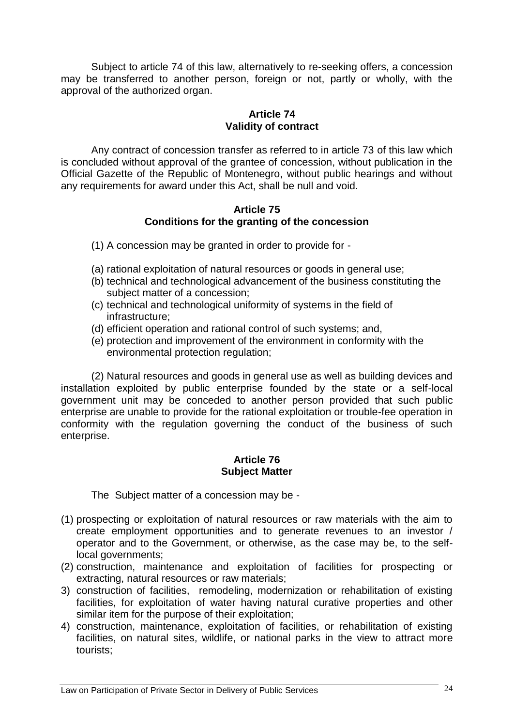Subject to article 74 of this law, alternatively to re-seeking offers, a concession may be transferred to another person, foreign or not, partly or wholly, with the approval of the authorized organ.

# **Article 74 Validity of contract**

Any contract of concession transfer as referred to in article 73 of this law which is concluded without approval of the grantee of concession, without publication in the Official Gazette of the Republic of Montenegro, without public hearings and without any requirements for award under this Act, shall be null and void.

### **Article 75 Conditions for the granting of the concession**

- (1) A concession may be granted in order to provide for -
- (a) rational exploitation of natural resources or goods in general use;
- (b) technical and technological advancement of the business constituting the subject matter of a concession;
- (c) technical and technological uniformity of systems in the field of infrastructure;
- (d) efficient operation and rational control of such systems; and,
- (e) protection and improvement of the environment in conformity with the environmental protection regulation;

(2) Natural resources and goods in general use as well as building devices and installation exploited by public enterprise founded by the state or a self-local government unit may be conceded to another person provided that such public enterprise are unable to provide for the rational exploitation or trouble-fee operation in conformity with the regulation governing the conduct of the business of such enterprise.

## **Article 76 Subject Matter**

The Subject matter of a concession may be -

- (1) prospecting or exploitation of natural resources or raw materials with the aim to create employment opportunities and to generate revenues to an investor / operator and to the Government, or otherwise, as the case may be, to the selflocal governments:
- (2) construction, maintenance and exploitation of facilities for prospecting or extracting, natural resources or raw materials;
- 3) construction of facilities, remodeling, modernization or rehabilitation of existing facilities, for exploitation of water having natural curative properties and other similar item for the purpose of their exploitation;
- 4) construction, maintenance, exploitation of facilities, or rehabilitation of existing facilities, on natural sites, wildlife, or national parks in the view to attract more tourists;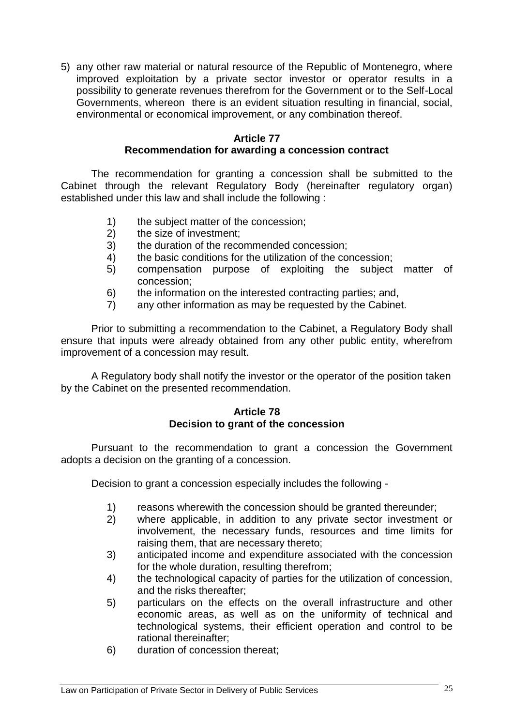5) any other raw material or natural resource of the Republic of Montenegro, where improved exploitation by a private sector investor or operator results in a possibility to generate revenues therefrom for the Government or to the Self-Local Governments, whereon there is an evident situation resulting in financial, social, environmental or economical improvement, or any combination thereof.

# **Article 77**

# **Recommendation for awarding a concession contract**

The recommendation for granting a concession shall be submitted to the Cabinet through the relevant Regulatory Body (hereinafter regulatory organ) established under this law and shall include the following :

- 1) the subject matter of the concession;
- 2) the size of investment;
- 3) the duration of the recommended concession;
- 4) the basic conditions for the utilization of the concession;
- 5) compensation purpose of exploiting the subject matter of concession;
- 6) the information on the interested contracting parties; and,
- 7) any other information as may be requested by the Cabinet.

Prior to submitting a recommendation to the Cabinet, a Regulatory Body shall ensure that inputs were already obtained from any other public entity, wherefrom improvement of a concession may result.

A Regulatory body shall notify the investor or the operator of the position taken by the Cabinet on the presented recommendation.

# **Article 78 Decision to grant of the concession**

Pursuant to the recommendation to grant a concession the Government adopts a decision on the granting of a concession.

Decision to grant a concession especially includes the following -

- 1) reasons wherewith the concession should be granted thereunder;
- 2) where applicable, in addition to any private sector investment or involvement, the necessary funds, resources and time limits for raising them, that are necessary thereto;
- 3) anticipated income and expenditure associated with the concession for the whole duration, resulting therefrom;
- 4) the technological capacity of parties for the utilization of concession, and the risks thereafter;
- 5) particulars on the effects on the overall infrastructure and other economic areas, as well as on the uniformity of technical and technological systems, their efficient operation and control to be rational thereinafter;
- 6) duration of concession thereat;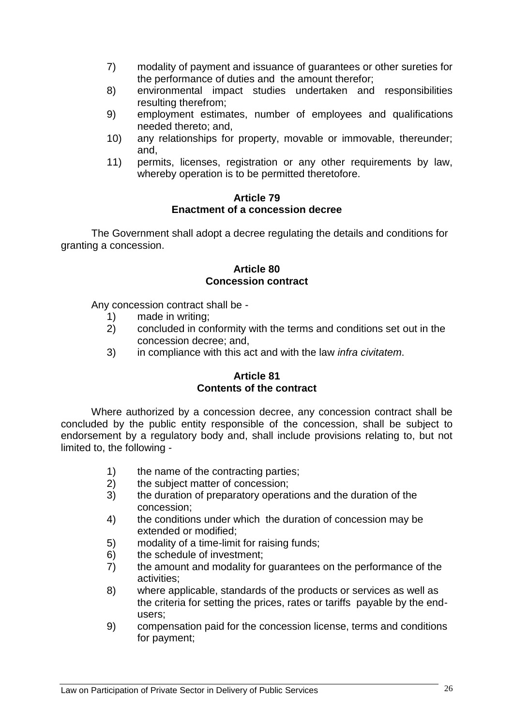- 7) modality of payment and issuance of guarantees or other sureties for the performance of duties and the amount therefor;
- 8) environmental impact studies undertaken and responsibilities resulting therefrom;
- 9) employment estimates, number of employees and qualifications needed thereto; and,
- 10) any relationships for property, movable or immovable, thereunder; and,
- 11) permits, licenses, registration or any other requirements by law, whereby operation is to be permitted theretofore.

# **Article 79 Enactment of a concession decree**

The Government shall adopt a decree regulating the details and conditions for granting a concession.

### **Article 80 Concession contract**

Any concession contract shall be -

- 1) made in writing;
- 2) concluded in conformity with the terms and conditions set out in the concession decree; and,
- 3) in compliance with this act and with the law *infra civitatem*.

# **Article 81 Contents of the contract**

Where authorized by a concession decree, any concession contract shall be concluded by the public entity responsible of the concession, shall be subject to endorsement by a regulatory body and, shall include provisions relating to, but not limited to, the following -

- 1) the name of the contracting parties;
- 2) the subject matter of concession;
- 3) the duration of preparatory operations and the duration of the concession;
- 4) the conditions under which the duration of concession may be extended or modified;
- 5) modality of a time-limit for raising funds;
- 6) the schedule of investment;
- 7) the amount and modality for guarantees on the performance of the activities;
- 8) where applicable, standards of the products or services as well as the criteria for setting the prices, rates or tariffs payable by the endusers;
- 9) compensation paid for the concession license, terms and conditions for payment;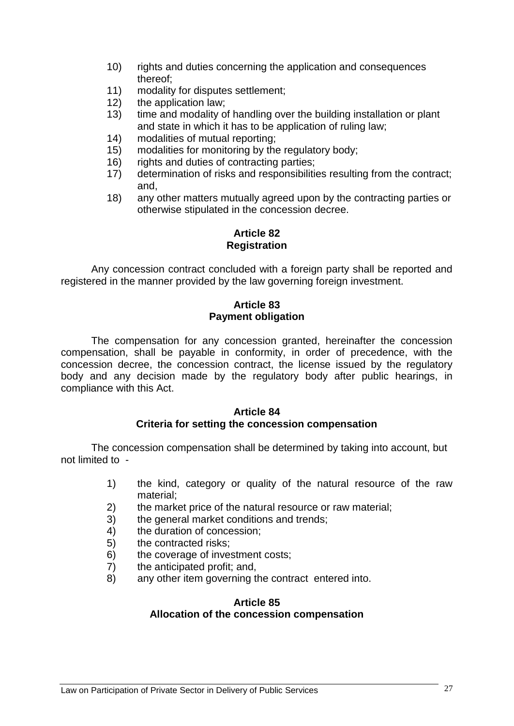- 10) rights and duties concerning the application and consequences thereof;
- 11) modality for disputes settlement;
- 12) the application law;
- 13) time and modality of handling over the building installation or plant and state in which it has to be application of ruling law;
- 14) modalities of mutual reporting;
- 15) modalities for monitoring by the regulatory body;
- 16) rights and duties of contracting parties;
- 17) determination of risks and responsibilities resulting from the contract; and,
- 18) any other matters mutually agreed upon by the contracting parties or otherwise stipulated in the concession decree.

# **Article 82 Registration**

Any concession contract concluded with a foreign party shall be reported and registered in the manner provided by the law governing foreign investment.

# **Article 83 Payment obligation**

The compensation for any concession granted, hereinafter the concession compensation, shall be payable in conformity, in order of precedence, with the concession decree, the concession contract, the license issued by the regulatory body and any decision made by the regulatory body after public hearings, in compliance with this Act.

### **Article 84 Criteria for setting the concession compensation**

The concession compensation shall be determined by taking into account, but not limited to -

- 1) the kind, category or quality of the natural resource of the raw material;
- 2) the market price of the natural resource or raw material;
- 3) the general market conditions and trends;
- 4) the duration of concession;
- 5) the contracted risks;
- 6) the coverage of investment costs;
- 7) the anticipated profit; and,
- 8) any other item governing the contract entered into.

# **Article 85 Allocation of the concession compensation**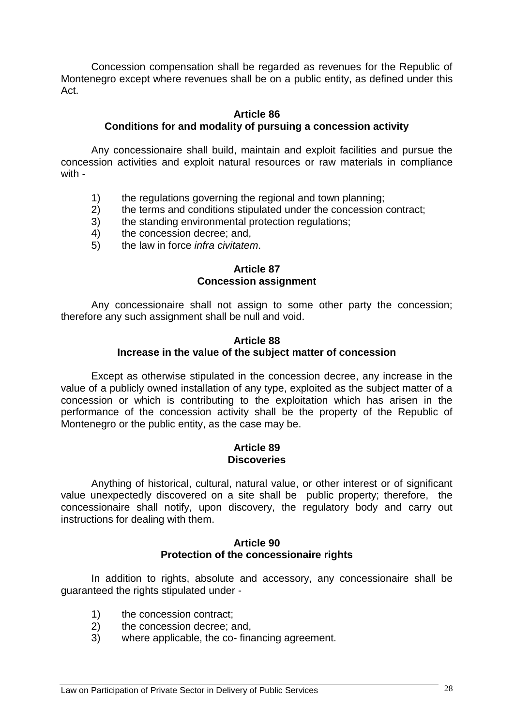Concession compensation shall be regarded as revenues for the Republic of Montenegro except where revenues shall be on a public entity, as defined under this Act.

#### **Article 86 Conditions for and modality of pursuing a concession activity**

Any concessionaire shall build, maintain and exploit facilities and pursue the concession activities and exploit natural resources or raw materials in compliance with -

- 1) the regulations governing the regional and town planning;
- 2) the terms and conditions stipulated under the concession contract;
- 3) the standing environmental protection regulations;
- 4) the concession decree; and,
- 5) the law in force *infra civitatem*.

### **Article 87 Concession assignment**

Any concessionaire shall not assign to some other party the concession; therefore any such assignment shall be null and void.

# **Article 88 Increase in the value of the subject matter of concession**

Except as otherwise stipulated in the concession decree, any increase in the value of a publicly owned installation of any type, exploited as the subject matter of a concession or which is contributing to the exploitation which has arisen in the performance of the concession activity shall be the property of the Republic of Montenegro or the public entity, as the case may be.

## **Article 89 Discoveries**

Anything of historical, cultural, natural value, or other interest or of significant value unexpectedly discovered on a site shall be public property; therefore, the concessionaire shall notify, upon discovery, the regulatory body and carry out instructions for dealing with them.

### **Article 90 Protection of the concessionaire rights**

In addition to rights, absolute and accessory, any concessionaire shall be guaranteed the rights stipulated under -

- 1) the concession contract;
- 2) the concession decree; and,
- 3) where applicable, the co- financing agreement.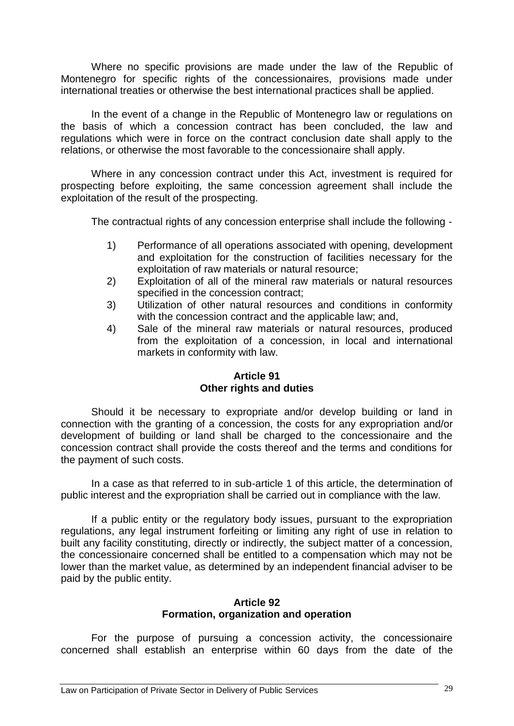Where no specific provisions are made under the law of the Republic of Montenegro for specific rights of the concessionaires, provisions made under international treaties or otherwise the best international practices shall be applied.

In the event of a change in the Republic of Montenegro law or regulations on the basis of which a concession contract has been concluded, the law and regulations which were in force on the contract conclusion date shall apply to the relations, or otherwise the most favorable to the concessionaire shall apply.

Where in any concession contract under this Act, investment is required for prospecting before exploiting, the same concession agreement shall include the exploitation of the result of the prospecting.

The contractual rights of any concession enterprise shall include the following -

- 1) Performance of all operations associated with opening, development and exploitation for the construction of facilities necessary for the exploitation of raw materials or natural resource;
- 2) Exploitation of all of the mineral raw materials or natural resources specified in the concession contract;
- 3) Utilization of other natural resources and conditions in conformity with the concession contract and the applicable law; and,
- 4) Sale of the mineral raw materials or natural resources, produced from the exploitation of a concession, in local and international markets in conformity with law.

## **Article 91 Other rights and duties**

Should it be necessary to expropriate and/or develop building or land in connection with the granting of a concession, the costs for any expropriation and/or development of building or land shall be charged to the concessionaire and the concession contract shall provide the costs thereof and the terms and conditions for the payment of such costs.

In a case as that referred to in sub-article 1 of this article, the determination of public interest and the expropriation shall be carried out in compliance with the law.

If a public entity or the regulatory body issues, pursuant to the expropriation regulations, any legal instrument forfeiting or limiting any right of use in relation to built any facility constituting, directly or indirectly, the subject matter of a concession, the concessionaire concerned shall be entitled to a compensation which may not be lower than the market value, as determined by an independent financial adviser to be paid by the public entity.

# **Article 92 Formation, organization and operation**

For the purpose of pursuing a concession activity, the concessionaire concerned shall establish an enterprise within 60 days from the date of the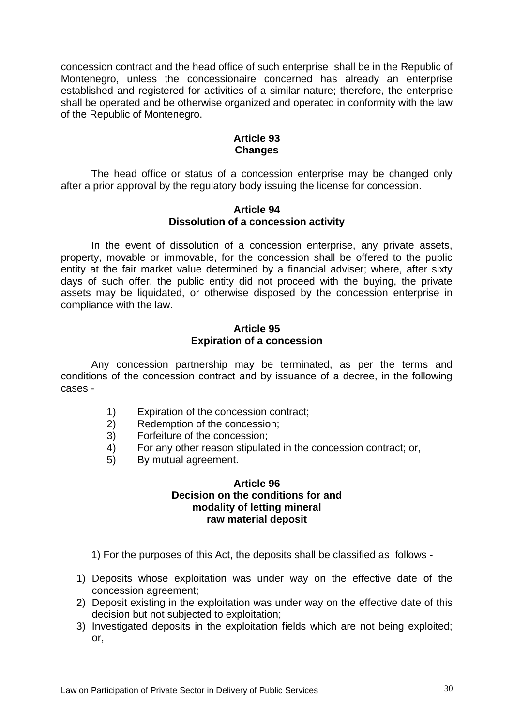concession contract and the head office of such enterprise shall be in the Republic of Montenegro, unless the concessionaire concerned has already an enterprise established and registered for activities of a similar nature; therefore, the enterprise shall be operated and be otherwise organized and operated in conformity with the law of the Republic of Montenegro.

# **Article 93 Changes**

The head office or status of a concession enterprise may be changed only after a prior approval by the regulatory body issuing the license for concession.

#### **Article 94 Dissolution of a concession activity**

In the event of dissolution of a concession enterprise, any private assets, property, movable or immovable, for the concession shall be offered to the public entity at the fair market value determined by a financial adviser; where, after sixty days of such offer, the public entity did not proceed with the buying, the private assets may be liquidated, or otherwise disposed by the concession enterprise in compliance with the law.

### **Article 95 Expiration of a concession**

Any concession partnership may be terminated, as per the terms and conditions of the concession contract and by issuance of a decree, in the following cases -

- 1) Expiration of the concession contract;
- 2) Redemption of the concession;
- 3) Forfeiture of the concession;
- 4) For any other reason stipulated in the concession contract; or,
- 5) By mutual agreement.

### **Article 96 Decision on the conditions for and modality of letting mineral raw material deposit**

1) For the purposes of this Act, the deposits shall be classified as follows -

- 1) Deposits whose exploitation was under way on the effective date of the concession agreement;
- 2) Deposit existing in the exploitation was under way on the effective date of this decision but not subjected to exploitation;
- 3) Investigated deposits in the exploitation fields which are not being exploited; or,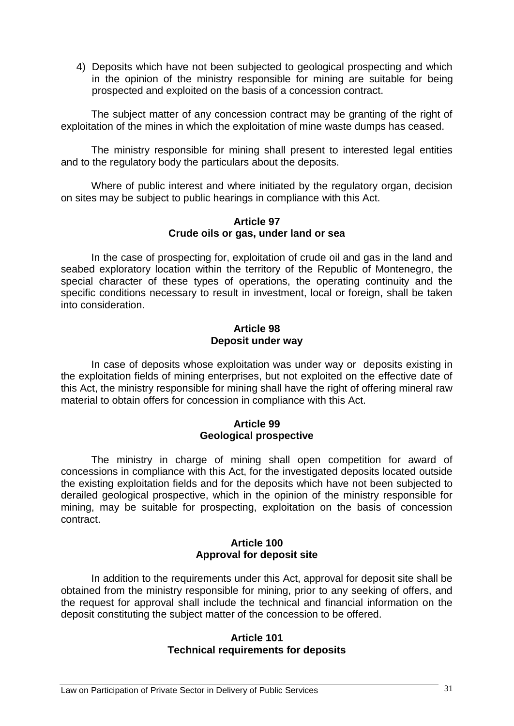4) Deposits which have not been subjected to geological prospecting and which in the opinion of the ministry responsible for mining are suitable for being prospected and exploited on the basis of a concession contract.

The subject matter of any concession contract may be granting of the right of exploitation of the mines in which the exploitation of mine waste dumps has ceased.

The ministry responsible for mining shall present to interested legal entities and to the regulatory body the particulars about the deposits.

Where of public interest and where initiated by the regulatory organ, decision on sites may be subject to public hearings in compliance with this Act.

### **Article 97 Crude oils or gas, under land or sea**

In the case of prospecting for, exploitation of crude oil and gas in the land and seabed exploratory location within the territory of the Republic of Montenegro, the special character of these types of operations, the operating continuity and the specific conditions necessary to result in investment, local or foreign, shall be taken into consideration.

### **Article 98 Deposit under way**

In case of deposits whose exploitation was under way or deposits existing in the exploitation fields of mining enterprises, but not exploited on the effective date of this Act, the ministry responsible for mining shall have the right of offering mineral raw material to obtain offers for concession in compliance with this Act.

# **Article 99 Geological prospective**

The ministry in charge of mining shall open competition for award of concessions in compliance with this Act, for the investigated deposits located outside the existing exploitation fields and for the deposits which have not been subjected to derailed geological prospective, which in the opinion of the ministry responsible for mining, may be suitable for prospecting, exploitation on the basis of concession contract.

# **Article 100 Approval for deposit site**

In addition to the requirements under this Act, approval for deposit site shall be obtained from the ministry responsible for mining, prior to any seeking of offers, and the request for approval shall include the technical and financial information on the deposit constituting the subject matter of the concession to be offered.

## **Article 101 Technical requirements for deposits**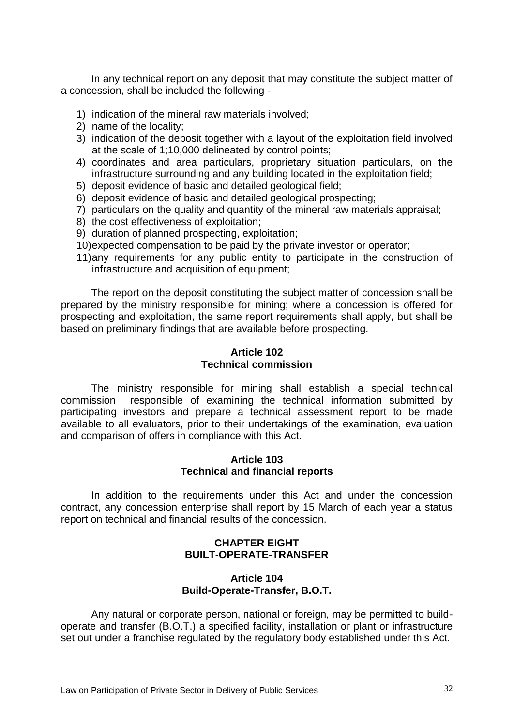In any technical report on any deposit that may constitute the subject matter of a concession, shall be included the following -

- 1) indication of the mineral raw materials involved;
- 2) name of the locality;
- 3) indication of the deposit together with a layout of the exploitation field involved at the scale of 1;10,000 delineated by control points;
- 4) coordinates and area particulars, proprietary situation particulars, on the infrastructure surrounding and any building located in the exploitation field;
- 5) deposit evidence of basic and detailed geological field;
- 6) deposit evidence of basic and detailed geological prospecting;
- 7) particulars on the quality and quantity of the mineral raw materials appraisal;
- 8) the cost effectiveness of exploitation;
- 9) duration of planned prospecting, exploitation;
- 10)expected compensation to be paid by the private investor or operator;
- 11)any requirements for any public entity to participate in the construction of infrastructure and acquisition of equipment;

The report on the deposit constituting the subject matter of concession shall be prepared by the ministry responsible for mining; where a concession is offered for prospecting and exploitation, the same report requirements shall apply, but shall be based on preliminary findings that are available before prospecting.

# **Article 102 Technical commission**

The ministry responsible for mining shall establish a special technical commission responsible of examining the technical information submitted by participating investors and prepare a technical assessment report to be made available to all evaluators, prior to their undertakings of the examination, evaluation and comparison of offers in compliance with this Act.

#### **Article 103 Technical and financial reports**

In addition to the requirements under this Act and under the concession contract, any concession enterprise shall report by 15 March of each year a status report on technical and financial results of the concession.

## **CHAPTER EIGHT BUILT-OPERATE-TRANSFER**

### **Article 104 Build-Operate-Transfer, B.O.T.**

Any natural or corporate person, national or foreign, may be permitted to buildoperate and transfer (B.O.T.) a specified facility, installation or plant or infrastructure set out under a franchise regulated by the regulatory body established under this Act.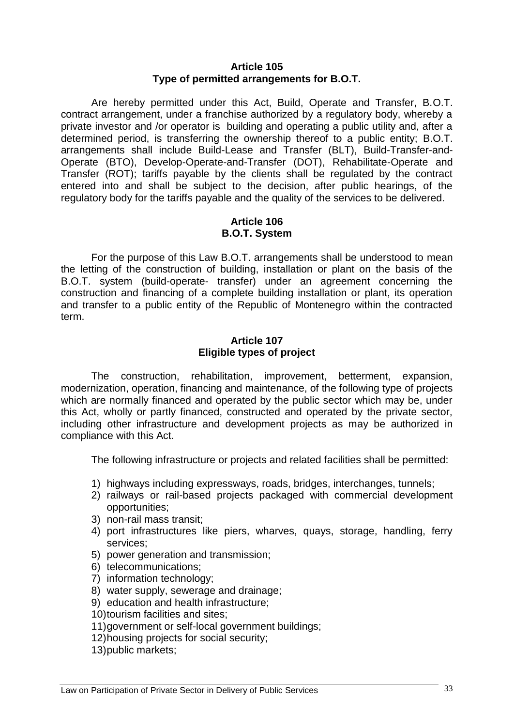#### **Article 105 Type of permitted arrangements for B.O.T.**

Are hereby permitted under this Act, Build, Operate and Transfer, B.O.T. contract arrangement, under a franchise authorized by a regulatory body, whereby a private investor and /or operator is building and operating a public utility and, after a determined period, is transferring the ownership thereof to a public entity; B.O.T. arrangements shall include Build-Lease and Transfer (BLT), Build-Transfer-and-Operate (BTO), Develop-Operate-and-Transfer (DOT), Rehabilitate-Operate and Transfer (ROT); tariffs payable by the clients shall be regulated by the contract entered into and shall be subject to the decision, after public hearings, of the regulatory body for the tariffs payable and the quality of the services to be delivered.

### **Article 106 B.O.T. System**

For the purpose of this Law B.O.T. arrangements shall be understood to mean the letting of the construction of building, installation or plant on the basis of the B.O.T. system (build-operate- transfer) under an agreement concerning the construction and financing of a complete building installation or plant, its operation and transfer to a public entity of the Republic of Montenegro within the contracted term.

### **Article 107 Eligible types of project**

The construction, rehabilitation, improvement, betterment, expansion, modernization, operation, financing and maintenance, of the following type of projects which are normally financed and operated by the public sector which may be, under this Act, wholly or partly financed, constructed and operated by the private sector, including other infrastructure and development projects as may be authorized in compliance with this Act.

The following infrastructure or projects and related facilities shall be permitted:

- 1) highways including expressways, roads, bridges, interchanges, tunnels;
- 2) railways or rail-based projects packaged with commercial development opportunities;
- 3) non-rail mass transit;
- 4) port infrastructures like piers, wharves, quays, storage, handling, ferry services;
- 5) power generation and transmission;
- 6) telecommunications;
- 7) information technology;
- 8) water supply, sewerage and drainage;
- 9) education and health infrastructure;
- 10)tourism facilities and sites;
- 11)government or self-local government buildings;
- 12)housing projects for social security;
- 13)public markets;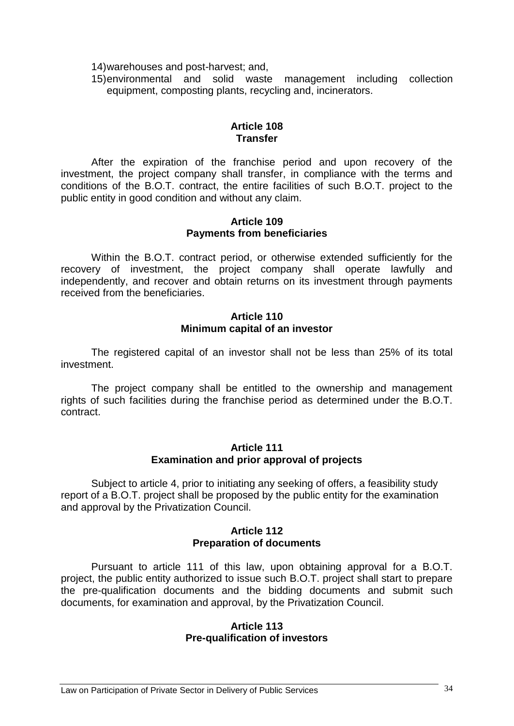14)warehouses and post-harvest; and,

15)environmental and solid waste management including collection equipment, composting plants, recycling and, incinerators.

# **Article 108 Transfer**

After the expiration of the franchise period and upon recovery of the investment, the project company shall transfer, in compliance with the terms and conditions of the B.O.T. contract, the entire facilities of such B.O.T. project to the public entity in good condition and without any claim.

### **Article 109 Payments from beneficiaries**

Within the B.O.T. contract period, or otherwise extended sufficiently for the recovery of investment, the project company shall operate lawfully and independently, and recover and obtain returns on its investment through payments received from the beneficiaries.

### **Article 110 Minimum capital of an investor**

The registered capital of an investor shall not be less than 25% of its total investment.

The project company shall be entitled to the ownership and management rights of such facilities during the franchise period as determined under the B.O.T. contract.

### **Article 111 Examination and prior approval of projects**

Subject to article 4, prior to initiating any seeking of offers, a feasibility study report of a B.O.T. project shall be proposed by the public entity for the examination and approval by the Privatization Council.

# **Article 112 Preparation of documents**

Pursuant to article 111 of this law, upon obtaining approval for a B.O.T. project, the public entity authorized to issue such B.O.T. project shall start to prepare the pre-qualification documents and the bidding documents and submit such documents, for examination and approval, by the Privatization Council.

#### **Article 113 Pre-qualification of investors**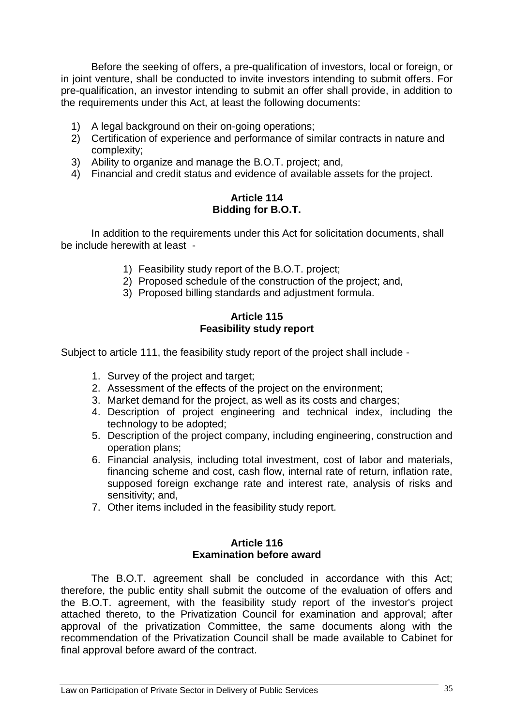Before the seeking of offers, a pre-qualification of investors, local or foreign, or in joint venture, shall be conducted to invite investors intending to submit offers. For pre-qualification, an investor intending to submit an offer shall provide, in addition to the requirements under this Act, at least the following documents:

- 1) A legal background on their on-going operations;
- 2) Certification of experience and performance of similar contracts in nature and complexity;
- 3) Ability to organize and manage the B.O.T. project; and,
- 4) Financial and credit status and evidence of available assets for the project.

# **Article 114 Bidding for B.O.T.**

In addition to the requirements under this Act for solicitation documents, shall be include herewith at least -

- 1) Feasibility study report of the B.O.T. project;
- 2) Proposed schedule of the construction of the project; and,
- 3) Proposed billing standards and adjustment formula.

# **Article 115 Feasibility study report**

Subject to article 111, the feasibility study report of the project shall include -

- 1. Survey of the project and target;
- 2. Assessment of the effects of the project on the environment;
- 3. Market demand for the project, as well as its costs and charges;
- 4. Description of project engineering and technical index, including the technology to be adopted;
- 5. Description of the project company, including engineering, construction and operation plans;
- 6. Financial analysis, including total investment, cost of labor and materials, financing scheme and cost, cash flow, internal rate of return, inflation rate, supposed foreign exchange rate and interest rate, analysis of risks and sensitivity; and,
- 7. Other items included in the feasibility study report.

# **Article 116 Examination before award**

The B.O.T. agreement shall be concluded in accordance with this Act; therefore, the public entity shall submit the outcome of the evaluation of offers and the B.O.T. agreement, with the feasibility study report of the investor's project attached thereto, to the Privatization Council for examination and approval; after approval of the privatization Committee, the same documents along with the recommendation of the Privatization Council shall be made available to Cabinet for final approval before award of the contract.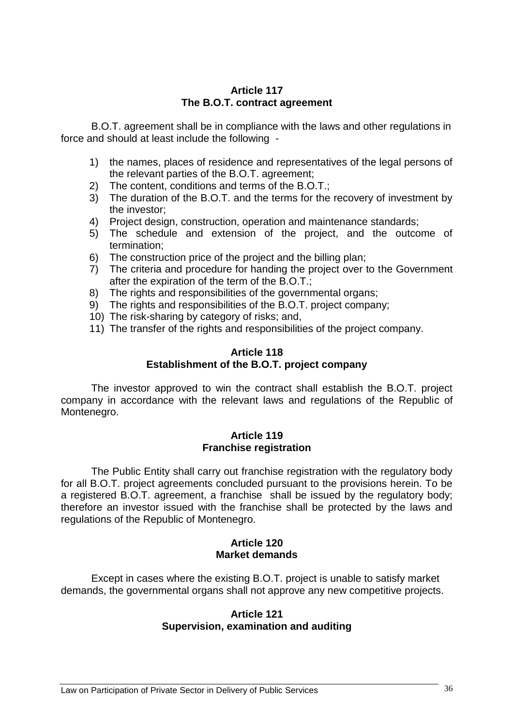## **Article 117 The B.O.T. contract agreement**

B.O.T. agreement shall be in compliance with the laws and other regulations in force and should at least include the following -

- 1) the names, places of residence and representatives of the legal persons of the relevant parties of the B.O.T. agreement;
- 2) The content, conditions and terms of the B.O.T.;
- 3) The duration of the B.O.T. and the terms for the recovery of investment by the investor;
- 4) Project design, construction, operation and maintenance standards;
- 5) The schedule and extension of the project, and the outcome of termination;
- 6) The construction price of the project and the billing plan;
- 7) The criteria and procedure for handing the project over to the Government after the expiration of the term of the B.O.T.;
- 8) The rights and responsibilities of the governmental organs;
- 9) The rights and responsibilities of the B.O.T. project company;
- 10) The risk-sharing by category of risks; and,
- 11) The transfer of the rights and responsibilities of the project company.

## **Article 118 Establishment of the B.O.T. project company**

The investor approved to win the contract shall establish the B.O.T. project company in accordance with the relevant laws and regulations of the Republic of Montenegro.

## **Article 119 Franchise registration**

The Public Entity shall carry out franchise registration with the regulatory body for all B.O.T. project agreements concluded pursuant to the provisions herein. To be a registered B.O.T. agreement, a franchise shall be issued by the regulatory body; therefore an investor issued with the franchise shall be protected by the laws and regulations of the Republic of Montenegro.

## **Article 120 Market demands**

Except in cases where the existing B.O.T. project is unable to satisfy market demands, the governmental organs shall not approve any new competitive projects.

### **Article 121 Supervision, examination and auditing**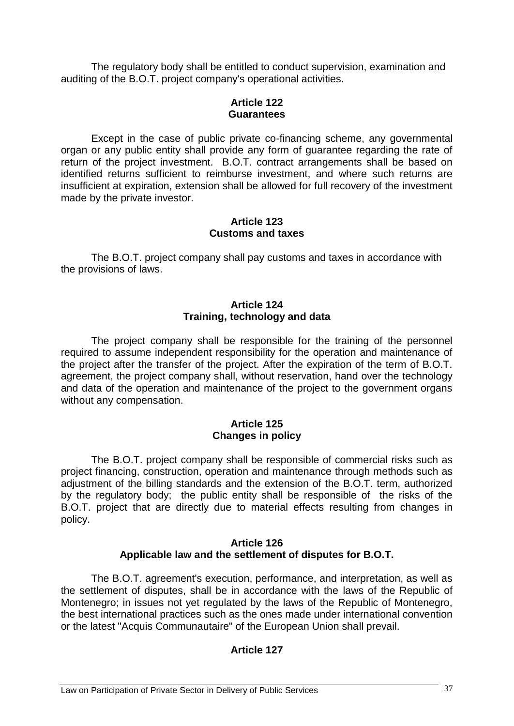The regulatory body shall be entitled to conduct supervision, examination and auditing of the B.O.T. project company's operational activities.

# **Article 122 Guarantees**

Except in the case of public private co-financing scheme, any governmental organ or any public entity shall provide any form of guarantee regarding the rate of return of the project investment. B.O.T. contract arrangements shall be based on identified returns sufficient to reimburse investment, and where such returns are insufficient at expiration, extension shall be allowed for full recovery of the investment made by the private investor.

## **Article 123 Customs and taxes**

The B.O.T. project company shall pay customs and taxes in accordance with the provisions of laws.

# **Article 124 Training, technology and data**

The project company shall be responsible for the training of the personnel required to assume independent responsibility for the operation and maintenance of the project after the transfer of the project. After the expiration of the term of B.O.T. agreement, the project company shall, without reservation, hand over the technology and data of the operation and maintenance of the project to the government organs without any compensation.

# **Article 125 Changes in policy**

The B.O.T. project company shall be responsible of commercial risks such as project financing, construction, operation and maintenance through methods such as adjustment of the billing standards and the extension of the B.O.T. term, authorized by the regulatory body; the public entity shall be responsible of the risks of the B.O.T. project that are directly due to material effects resulting from changes in policy.

# **Article 126 Applicable law and the settlement of disputes for B.O.T.**

The B.O.T. agreement's execution, performance, and interpretation, as well as the settlement of disputes, shall be in accordance with the laws of the Republic of Montenegro; in issues not yet regulated by the laws of the Republic of Montenegro, the best international practices such as the ones made under international convention or the latest "Acquis Communautaire" of the European Union shall prevail.

# **Article 127**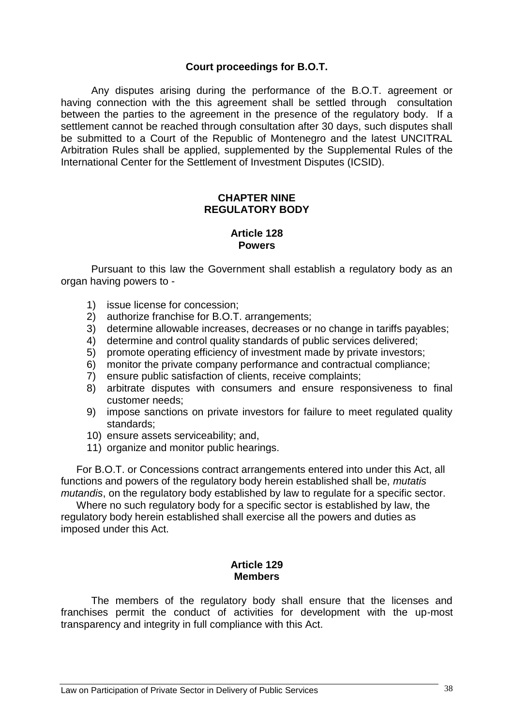# **Court proceedings for B.O.T.**

Any disputes arising during the performance of the B.O.T. agreement or having connection with the this agreement shall be settled through consultation between the parties to the agreement in the presence of the regulatory body. If a settlement cannot be reached through consultation after 30 days, such disputes shall be submitted to a Court of the Republic of Montenegro and the latest UNCITRAL Arbitration Rules shall be applied, supplemented by the Supplemental Rules of the International Center for the Settlement of Investment Disputes (ICSID).

# **CHAPTER NINE REGULATORY BODY**

# **Article 128 Powers**

Pursuant to this law the Government shall establish a regulatory body as an organ having powers to -

- 1) issue license for concession;
- 2) authorize franchise for B.O.T. arrangements;
- 3) determine allowable increases, decreases or no change in tariffs payables;
- 4) determine and control quality standards of public services delivered;
- 5) promote operating efficiency of investment made by private investors;
- 6) monitor the private company performance and contractual compliance;
- 7) ensure public satisfaction of clients, receive complaints;
- 8) arbitrate disputes with consumers and ensure responsiveness to final customer needs;
- 9) impose sanctions on private investors for failure to meet regulated quality standards;
- 10) ensure assets serviceability; and,
- 11) organize and monitor public hearings.

For B.O.T. or Concessions contract arrangements entered into under this Act, all functions and powers of the regulatory body herein established shall be, *mutatis mutandis*, on the regulatory body established by law to regulate for a specific sector.

Where no such regulatory body for a specific sector is established by law, the regulatory body herein established shall exercise all the powers and duties as imposed under this Act.

### **Article 129 Members**

The members of the regulatory body shall ensure that the licenses and franchises permit the conduct of activities for development with the up-most transparency and integrity in full compliance with this Act.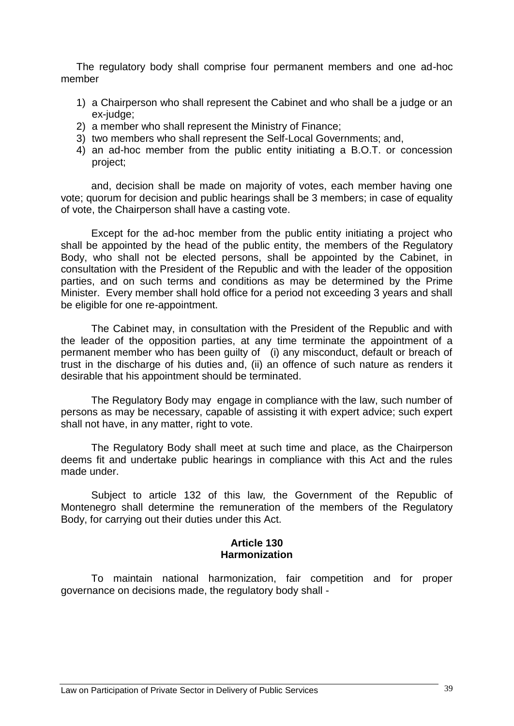The regulatory body shall comprise four permanent members and one ad-hoc member

- 1) a Chairperson who shall represent the Cabinet and who shall be a judge or an ex-judge;
- 2) a member who shall represent the Ministry of Finance;
- 3) two members who shall represent the Self-Local Governments; and,
- 4) an ad-hoc member from the public entity initiating a B.O.T. or concession project;

and, decision shall be made on majority of votes, each member having one vote; quorum for decision and public hearings shall be 3 members; in case of equality of vote, the Chairperson shall have a casting vote.

Except for the ad-hoc member from the public entity initiating a project who shall be appointed by the head of the public entity, the members of the Regulatory Body, who shall not be elected persons, shall be appointed by the Cabinet, in consultation with the President of the Republic and with the leader of the opposition parties, and on such terms and conditions as may be determined by the Prime Minister. Every member shall hold office for a period not exceeding 3 years and shall be eligible for one re-appointment.

The Cabinet may, in consultation with the President of the Republic and with the leader of the opposition parties, at any time terminate the appointment of a permanent member who has been guilty of (i) any misconduct, default or breach of trust in the discharge of his duties and, (ii) an offence of such nature as renders it desirable that his appointment should be terminated.

The Regulatory Body may engage in compliance with the law, such number of persons as may be necessary, capable of assisting it with expert advice; such expert shall not have, in any matter, right to vote.

The Regulatory Body shall meet at such time and place, as the Chairperson deems fit and undertake public hearings in compliance with this Act and the rules made under.

Subject to article 132 of this law*,* the Government of the Republic of Montenegro shall determine the remuneration of the members of the Regulatory Body, for carrying out their duties under this Act.

# **Article 130 Harmonization**

To maintain national harmonization, fair competition and for proper governance on decisions made, the regulatory body shall -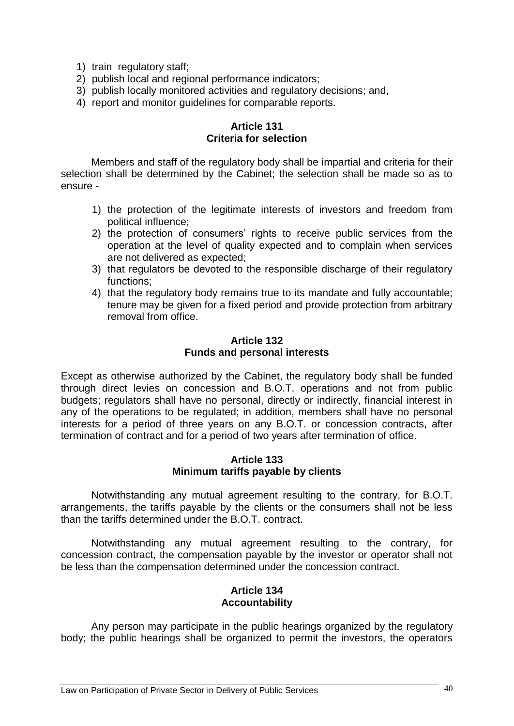- 1) train regulatory staff;
- 2) publish local and regional performance indicators;
- 3) publish locally monitored activities and regulatory decisions; and,
- 4) report and monitor guidelines for comparable reports.

### **Article 131 Criteria for selection**

Members and staff of the regulatory body shall be impartial and criteria for their selection shall be determined by the Cabinet; the selection shall be made so as to ensure -

- 1) the protection of the legitimate interests of investors and freedom from political influence;
- 2) the protection of consumers' rights to receive public services from the operation at the level of quality expected and to complain when services are not delivered as expected;
- 3) that regulators be devoted to the responsible discharge of their regulatory functions;
- 4) that the regulatory body remains true to its mandate and fully accountable; tenure may be given for a fixed period and provide protection from arbitrary removal from office.

### **Article 132 Funds and personal interests**

Except as otherwise authorized by the Cabinet, the regulatory body shall be funded through direct levies on concession and B.O.T. operations and not from public budgets; regulators shall have no personal, directly or indirectly, financial interest in any of the operations to be regulated; in addition, members shall have no personal interests for a period of three years on any B.O.T. or concession contracts, after termination of contract and for a period of two years after termination of office.

#### **Article 133 Minimum tariffs payable by clients**

Notwithstanding any mutual agreement resulting to the contrary, for B.O.T. arrangements, the tariffs payable by the clients or the consumers shall not be less than the tariffs determined under the B.O.T. contract.

Notwithstanding any mutual agreement resulting to the contrary, for concession contract, the compensation payable by the investor or operator shall not be less than the compensation determined under the concession contract.

## **Article 134 Accountability**

Any person may participate in the public hearings organized by the regulatory body; the public hearings shall be organized to permit the investors, the operators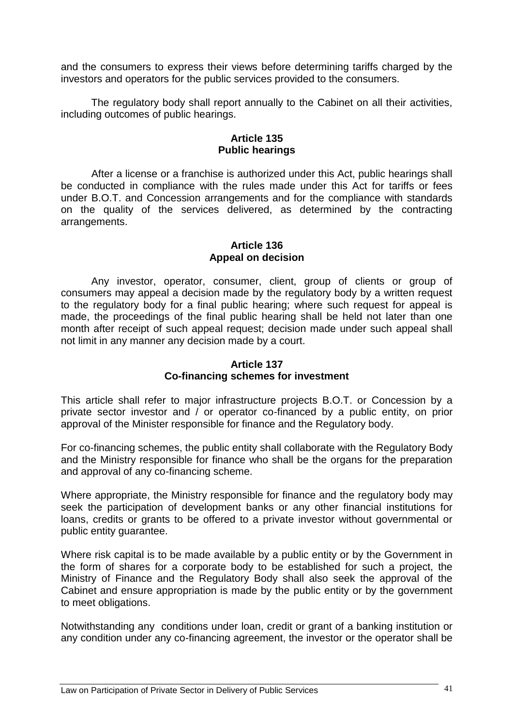and the consumers to express their views before determining tariffs charged by the investors and operators for the public services provided to the consumers.

The regulatory body shall report annually to the Cabinet on all their activities, including outcomes of public hearings.

# **Article 135 Public hearings**

After a license or a franchise is authorized under this Act, public hearings shall be conducted in compliance with the rules made under this Act for tariffs or fees under B.O.T. and Concession arrangements and for the compliance with standards on the quality of the services delivered, as determined by the contracting arrangements.

## **Article 136 Appeal on decision**

Any investor, operator, consumer, client, group of clients or group of consumers may appeal a decision made by the regulatory body by a written request to the regulatory body for a final public hearing; where such request for appeal is made, the proceedings of the final public hearing shall be held not later than one month after receipt of such appeal request; decision made under such appeal shall not limit in any manner any decision made by a court.

# **Article 137 Co-financing schemes for investment**

This article shall refer to major infrastructure projects B.O.T. or Concession by a private sector investor and / or operator co-financed by a public entity, on prior approval of the Minister responsible for finance and the Regulatory body.

For co-financing schemes, the public entity shall collaborate with the Regulatory Body and the Ministry responsible for finance who shall be the organs for the preparation and approval of any co-financing scheme.

Where appropriate, the Ministry responsible for finance and the regulatory body may seek the participation of development banks or any other financial institutions for loans, credits or grants to be offered to a private investor without governmental or public entity guarantee.

Where risk capital is to be made available by a public entity or by the Government in the form of shares for a corporate body to be established for such a project, the Ministry of Finance and the Regulatory Body shall also seek the approval of the Cabinet and ensure appropriation is made by the public entity or by the government to meet obligations.

Notwithstanding any conditions under loan, credit or grant of a banking institution or any condition under any co-financing agreement, the investor or the operator shall be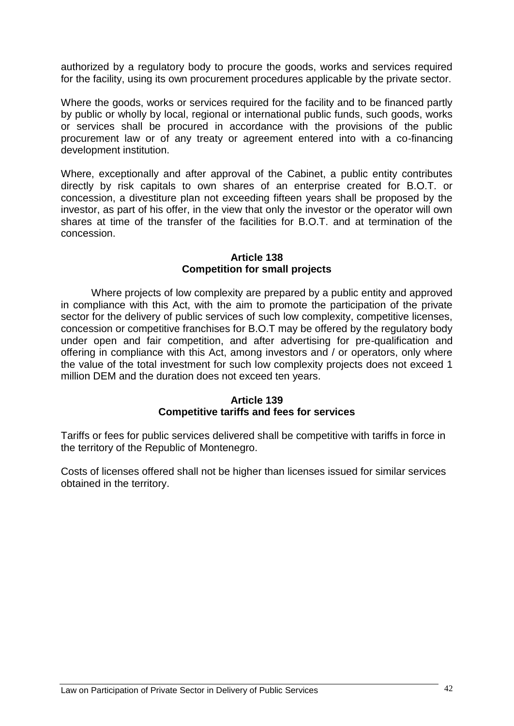authorized by a regulatory body to procure the goods, works and services required for the facility, using its own procurement procedures applicable by the private sector.

Where the goods, works or services required for the facility and to be financed partly by public or wholly by local, regional or international public funds, such goods, works or services shall be procured in accordance with the provisions of the public procurement law or of any treaty or agreement entered into with a co-financing development institution.

Where, exceptionally and after approval of the Cabinet, a public entity contributes directly by risk capitals to own shares of an enterprise created for B.O.T. or concession, a divestiture plan not exceeding fifteen years shall be proposed by the investor, as part of his offer, in the view that only the investor or the operator will own shares at time of the transfer of the facilities for B.O.T. and at termination of the concession.

## **Article 138 Competition for small projects**

Where projects of low complexity are prepared by a public entity and approved in compliance with this Act, with the aim to promote the participation of the private sector for the delivery of public services of such low complexity, competitive licenses, concession or competitive franchises for B.O.T may be offered by the regulatory body under open and fair competition, and after advertising for pre-qualification and offering in compliance with this Act, among investors and / or operators, only where the value of the total investment for such low complexity projects does not exceed 1 million DEM and the duration does not exceed ten years.

## **Article 139 Competitive tariffs and fees for services**

Tariffs or fees for public services delivered shall be competitive with tariffs in force in the territory of the Republic of Montenegro.

Costs of licenses offered shall not be higher than licenses issued for similar services obtained in the territory.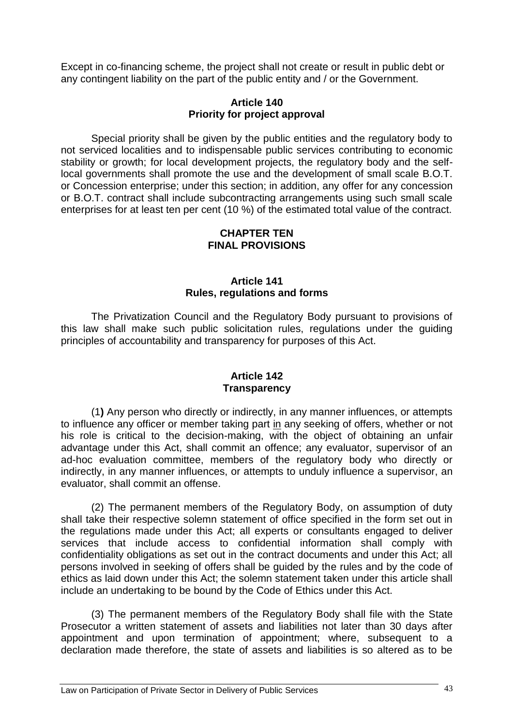Except in co-financing scheme, the project shall not create or result in public debt or any contingent liability on the part of the public entity and / or the Government.

## **Article 140 Priority for project approval**

Special priority shall be given by the public entities and the regulatory body to not serviced localities and to indispensable public services contributing to economic stability or growth; for local development projects, the regulatory body and the selflocal governments shall promote the use and the development of small scale B.O.T. or Concession enterprise; under this section; in addition, any offer for any concession or B.O.T. contract shall include subcontracting arrangements using such small scale enterprises for at least ten per cent (10 %) of the estimated total value of the contract.

### **CHAPTER TEN FINAL PROVISIONS**

# **Article 141 Rules, regulations and forms**

The Privatization Council and the Regulatory Body pursuant to provisions of this law shall make such public solicitation rules, regulations under the guiding principles of accountability and transparency for purposes of this Act.

## **Article 142 Transparency**

(1**)** Any person who directly or indirectly, in any manner influences, or attempts to influence any officer or member taking part in any seeking of offers, whether or not his role is critical to the decision-making, with the object of obtaining an unfair advantage under this Act, shall commit an offence; any evaluator, supervisor of an ad-hoc evaluation committee, members of the regulatory body who directly or indirectly, in any manner influences, or attempts to unduly influence a supervisor, an evaluator, shall commit an offense.

(2) The permanent members of the Regulatory Body, on assumption of duty shall take their respective solemn statement of office specified in the form set out in the regulations made under this Act; all experts or consultants engaged to deliver services that include access to confidential information shall comply with confidentiality obligations as set out in the contract documents and under this Act; all persons involved in seeking of offers shall be guided by the rules and by the code of ethics as laid down under this Act; the solemn statement taken under this article shall include an undertaking to be bound by the Code of Ethics under this Act.

(3) The permanent members of the Regulatory Body shall file with the State Prosecutor a written statement of assets and liabilities not later than 30 days after appointment and upon termination of appointment; where, subsequent to a declaration made therefore, the state of assets and liabilities is so altered as to be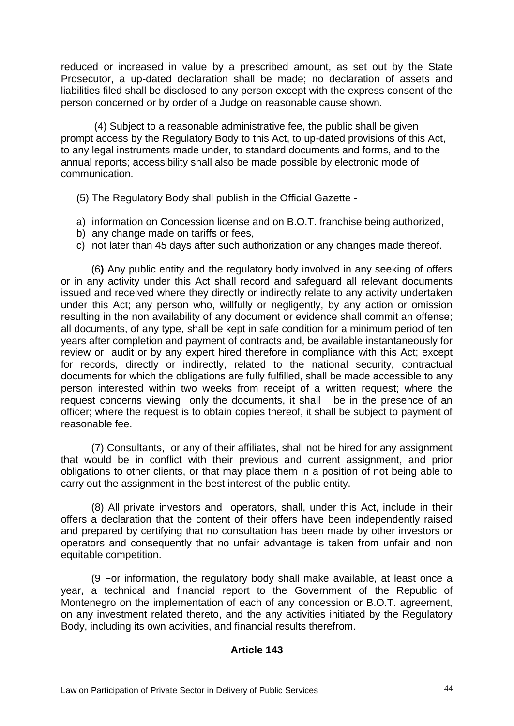reduced or increased in value by a prescribed amount, as set out by the State Prosecutor, a up-dated declaration shall be made; no declaration of assets and liabilities filed shall be disclosed to any person except with the express consent of the person concerned or by order of a Judge on reasonable cause shown.

(4) Subject to a reasonable administrative fee, the public shall be given prompt access by the Regulatory Body to this Act, to up-dated provisions of this Act, to any legal instruments made under, to standard documents and forms, and to the annual reports; accessibility shall also be made possible by electronic mode of communication.

(5) The Regulatory Body shall publish in the Official Gazette -

- a) information on Concession license and on B.O.T. franchise being authorized,
- b) any change made on tariffs or fees,
- c) not later than 45 days after such authorization or any changes made thereof.

(6**)** Any public entity and the regulatory body involved in any seeking of offers or in any activity under this Act shall record and safeguard all relevant documents issued and received where they directly or indirectly relate to any activity undertaken under this Act; any person who, willfully or negligently, by any action or omission resulting in the non availability of any document or evidence shall commit an offense; all documents, of any type, shall be kept in safe condition for a minimum period of ten years after completion and payment of contracts and, be available instantaneously for review or audit or by any expert hired therefore in compliance with this Act; except for records, directly or indirectly, related to the national security, contractual documents for which the obligations are fully fulfilled, shall be made accessible to any person interested within two weeks from receipt of a written request; where the request concerns viewing only the documents, it shall be in the presence of an officer; where the request is to obtain copies thereof, it shall be subject to payment of reasonable fee.

(7) Consultants, or any of their affiliates, shall not be hired for any assignment that would be in conflict with their previous and current assignment, and prior obligations to other clients, or that may place them in a position of not being able to carry out the assignment in the best interest of the public entity.

(8) All private investors and operators, shall, under this Act, include in their offers a declaration that the content of their offers have been independently raised and prepared by certifying that no consultation has been made by other investors or operators and consequently that no unfair advantage is taken from unfair and non equitable competition.

(9 For information, the regulatory body shall make available, at least once a year, a technical and financial report to the Government of the Republic of Montenegro on the implementation of each of any concession or B.O.T. agreement, on any investment related thereto, and the any activities initiated by the Regulatory Body, including its own activities, and financial results therefrom.

# **Article 143**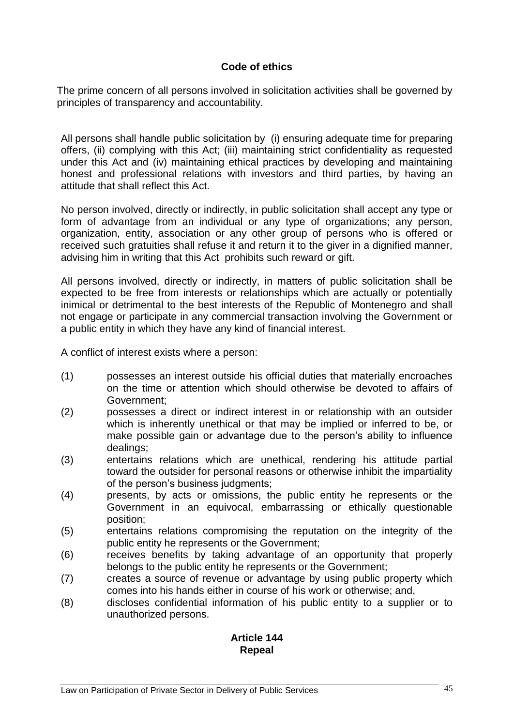# **Code of ethics**

The prime concern of all persons involved in solicitation activities shall be governed by principles of transparency and accountability.

All persons shall handle public solicitation by (i) ensuring adequate time for preparing offers, (ii) complying with this Act; (iii) maintaining strict confidentiality as requested under this Act and (iv) maintaining ethical practices by developing and maintaining honest and professional relations with investors and third parties, by having an attitude that shall reflect this Act.

No person involved, directly or indirectly, in public solicitation shall accept any type or form of advantage from an individual or any type of organizations; any person, organization, entity, association or any other group of persons who is offered or received such gratuities shall refuse it and return it to the giver in a dignified manner, advising him in writing that this Act prohibits such reward or gift.

All persons involved, directly or indirectly, in matters of public solicitation shall be expected to be free from interests or relationships which are actually or potentially inimical or detrimental to the best interests of the Republic of Montenegro and shall not engage or participate in any commercial transaction involving the Government or a public entity in which they have any kind of financial interest.

A conflict of interest exists where a person:

- (1) possesses an interest outside his official duties that materially encroaches on the time or attention which should otherwise be devoted to affairs of Government;
- (2) possesses a direct or indirect interest in or relationship with an outsider which is inherently unethical or that may be implied or inferred to be, or make possible gain or advantage due to the person's ability to influence dealings;
- (3) entertains relations which are unethical, rendering his attitude partial toward the outsider for personal reasons or otherwise inhibit the impartiality of the person's business judgments;
- (4) presents, by acts or omissions, the public entity he represents or the Government in an equivocal, embarrassing or ethically questionable position;
- (5) entertains relations compromising the reputation on the integrity of the public entity he represents or the Government;
- (6) receives benefits by taking advantage of an opportunity that properly belongs to the public entity he represents or the Government;
- (7) creates a source of revenue or advantage by using public property which comes into his hands either in course of his work or otherwise; and,
- (8) discloses confidential information of his public entity to a supplier or to unauthorized persons.

# **Article 144 Repeal**